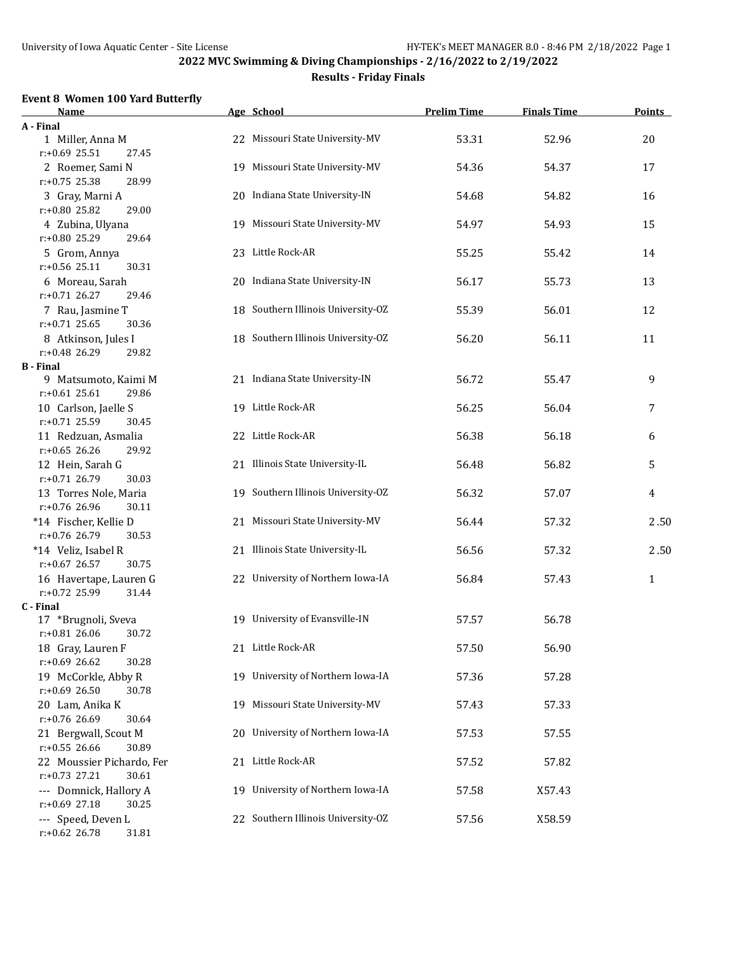# **Results - Friday Finals**

#### **Event 8 Women 100 Yard Butterfly**

| <u>Name</u>                                       | Age School                         | <b>Prelim Time</b> | <b>Finals Time</b> | Points       |
|---------------------------------------------------|------------------------------------|--------------------|--------------------|--------------|
| A - Final                                         |                                    |                    |                    |              |
| 1 Miller, Anna M                                  | 22 Missouri State University-MV    | 53.31              | 52.96              | 20           |
| $r: +0.69$ 25.51<br>27.45                         |                                    |                    |                    |              |
| 2 Roemer, Sami N                                  | 19 Missouri State University-MV    | 54.36              | 54.37              | 17           |
| r:+0.75 25.38<br>28.99                            |                                    |                    |                    |              |
| 3 Gray, Marni A                                   | 20 Indiana State University-IN     | 54.68              | 54.82              | 16           |
| r:+0.80 25.82<br>29.00                            |                                    |                    |                    |              |
| 4 Zubina, Ulyana                                  | 19 Missouri State University-MV    | 54.97              | 54.93              | 15           |
| r:+0.80 25.29<br>29.64                            |                                    |                    |                    |              |
| 5 Grom, Annya                                     | 23 Little Rock-AR                  | 55.25              | 55.42              | 14           |
| r:+0.56 25.11<br>30.31                            |                                    |                    |                    |              |
| 6 Moreau, Sarah                                   | 20 Indiana State University-IN     | 56.17              | 55.73              | 13           |
| $r: +0.71$ 26.27<br>29.46                         |                                    |                    |                    |              |
| 7 Rau, Jasmine T                                  | 18 Southern Illinois University-OZ | 55.39              | 56.01              | 12           |
| $r: +0.71$ 25.65<br>30.36                         |                                    |                    |                    |              |
| 8 Atkinson, Jules I                               | 18 Southern Illinois University-OZ | 56.20              | 56.11              | 11           |
| $r: +0.48$ 26.29<br>29.82                         |                                    |                    |                    |              |
| B - Final                                         | 21 Indiana State University-IN     | 56.72              | 55.47              | 9            |
| 9 Matsumoto, Kaimi M<br>$r: +0.61$ 25.61<br>29.86 |                                    |                    |                    |              |
| 10 Carlson, Jaelle S                              | 19 Little Rock-AR                  | 56.25              | 56.04              | 7            |
| r:+0.71 25.59<br>30.45                            |                                    |                    |                    |              |
| 11 Redzuan, Asmalia                               | 22 Little Rock-AR                  | 56.38              | 56.18              | 6            |
| $r: +0.65$ 26.26<br>29.92                         |                                    |                    |                    |              |
| 12 Hein, Sarah G                                  | 21 Illinois State University-IL    | 56.48              | 56.82              | 5            |
| r:+0.71 26.79<br>30.03                            |                                    |                    |                    |              |
| 13 Torres Nole, Maria                             | 19 Southern Illinois University-OZ | 56.32              | 57.07              | 4            |
| r:+0.76 26.96<br>30.11                            |                                    |                    |                    |              |
| *14 Fischer, Kellie D                             | 21 Missouri State University-MV    | 56.44              | 57.32              | 2.50         |
| r:+0.76 26.79<br>30.53                            |                                    |                    |                    |              |
| *14 Veliz, Isabel R                               | 21 Illinois State University-IL    | 56.56              | 57.32              | 2.50         |
| r:+0.67 26.57<br>30.75                            |                                    |                    |                    |              |
| 16 Havertape, Lauren G                            | 22 University of Northern Iowa-IA  | 56.84              | 57.43              | $\mathbf{1}$ |
| r:+0.72 25.99<br>31.44                            |                                    |                    |                    |              |
| C - Final                                         |                                    |                    |                    |              |
| 17 *Brugnoli, Sveva                               | 19 University of Evansville-IN     | 57.57              | 56.78              |              |
| $r: +0.81$ 26.06<br>30.72                         |                                    |                    |                    |              |
| 18 Gray, Lauren F                                 | 21 Little Rock-AR                  | 57.50              | 56.90              |              |
| r:+0.69 26.62<br>30.28                            |                                    |                    |                    |              |
| 19 McCorkle, Abby R                               | 19 University of Northern Iowa-IA  | 57.36              | 57.28              |              |
| $r: +0.69$ 26.50<br>30.78                         |                                    |                    |                    |              |
| 20 Lam, Anika K                                   | 19 Missouri State University-MV    | 57.43              | 57.33              |              |
| r:+0.76 26.69<br>30.64                            |                                    |                    |                    |              |
| 21 Bergwall, Scout M                              | 20 University of Northern Iowa-IA  | 57.53              | 57.55              |              |
| $r: +0.55$ 26.66<br>30.89                         |                                    |                    |                    |              |
| 22 Moussier Pichardo, Fer                         | 21 Little Rock-AR                  | 57.52              | 57.82              |              |
| $r: +0.73$ 27.21<br>30.61                         |                                    |                    |                    |              |
| --- Domnick, Hallory A                            | 19 University of Northern Iowa-IA  | 57.58              | X57.43             |              |
| $r: +0.69$ 27.18<br>30.25                         |                                    |                    |                    |              |
| --- Speed, Deven L                                | 22 Southern Illinois University-OZ | 57.56              | X58.59             |              |
| r:+0.62 26.78<br>31.81                            |                                    |                    |                    |              |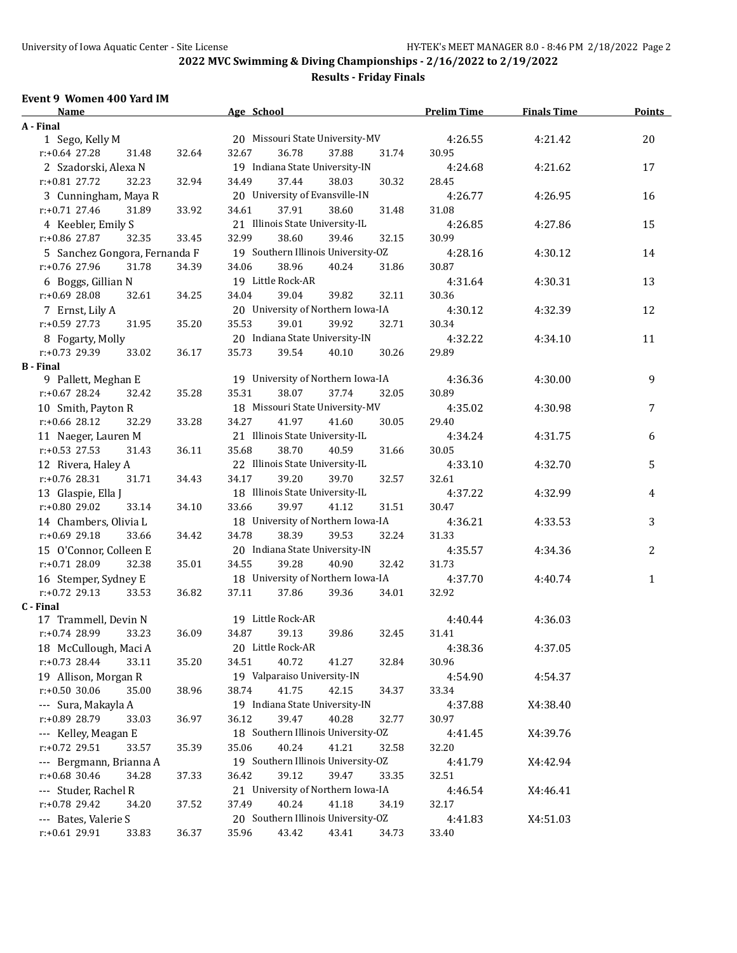# **Results - Friday Finals**

#### **Event 9 Women 400 Yard IM**

| <b>Name</b>                                     |       | Age School                         |                | <b>Prelim Time</b> | <b>Finals Time</b> | <b>Points</b> |
|-------------------------------------------------|-------|------------------------------------|----------------|--------------------|--------------------|---------------|
| A - Final                                       |       |                                    |                |                    |                    |               |
| 1 Sego, Kelly M                                 |       | 20 Missouri State University-MV    |                | 4:26.55            | 4:21.42            | $20\,$        |
| $r: +0.64$ 27.28<br>31.48                       | 32.64 | 32.67<br>36.78                     | 37.88<br>31.74 | 30.95              |                    |               |
| 2 Szadorski, Alexa N                            |       | 19 Indiana State University-IN     |                | 4:24.68            | 4:21.62            | 17            |
| $r: +0.81$ 27.72<br>32.23                       | 32.94 | 34.49<br>37.44                     | 38.03<br>30.32 | 28.45              |                    |               |
| 3 Cunningham, Maya R                            |       | 20 University of Evansville-IN     |                | 4:26.77            | 4:26.95            | 16            |
| $r: +0.71$ 27.46<br>31.89                       | 33.92 | 34.61<br>37.91                     | 38.60<br>31.48 | 31.08              |                    |               |
| 4 Keebler, Emily S                              |       | 21 Illinois State University-IL    |                | 4:26.85            | 4:27.86            | 15            |
| $r: +0.86$ 27.87<br>32.35                       | 33.45 | 32.99<br>38.60                     | 39.46<br>32.15 | 30.99              |                    |               |
| 5 Sanchez Gongora, Fernanda F                   |       | 19 Southern Illinois University-OZ |                | 4:28.16            | 4:30.12            | 14            |
| $r: +0.76$ 27.96<br>31.78                       | 34.39 | 34.06<br>38.96                     | 40.24<br>31.86 | 30.87              |                    |               |
| 6 Boggs, Gillian N                              |       | 19 Little Rock-AR                  |                | 4:31.64            | 4:30.31            | 13            |
| $r: +0.69$ 28.08<br>32.61                       | 34.25 | 34.04<br>39.04                     | 39.82<br>32.11 | 30.36              |                    |               |
| 7 Ernst, Lily A                                 |       | 20 University of Northern Iowa-IA  |                | 4:30.12            | 4:32.39            | 12            |
| $r: +0.59$ 27.73<br>31.95                       | 35.20 | 35.53<br>39.01                     | 39.92<br>32.71 | 30.34              |                    |               |
|                                                 |       | 20 Indiana State University-IN     |                | 4:32.22            | 4:34.10            | 11            |
| 8 Fogarty, Molly<br>r:+0.73 29.39<br>33.02      | 36.17 | 35.73<br>39.54                     | 30.26<br>40.10 | 29.89              |                    |               |
| <b>B</b> - Final                                |       |                                    |                |                    |                    |               |
| 9 Pallett, Meghan E                             |       | 19 University of Northern Iowa-IA  |                | 4:36.36            | 4:30.00            | 9             |
| $r: +0.67$ 28.24<br>32.42                       | 35.28 | 35.31<br>38.07                     | 37.74<br>32.05 | 30.89              |                    |               |
|                                                 |       | 18 Missouri State University-MV    |                | 4:35.02            | 4:30.98            | 7             |
| 10 Smith, Payton R<br>$r: +0.66$ 28.12<br>32.29 | 33.28 | 34.27<br>41.97                     | 41.60<br>30.05 | 29.40              |                    |               |
|                                                 |       |                                    |                |                    |                    |               |
| 11 Naeger, Lauren M                             |       | 21 Illinois State University-IL    |                | 4:34.24            | 4:31.75            | 6             |
| $r: +0.53$ 27.53<br>31.43                       | 36.11 | 35.68<br>38.70                     | 40.59<br>31.66 | 30.05              |                    |               |
| 12 Rivera, Haley A                              |       | 22 Illinois State University-IL    |                | 4:33.10            | 4:32.70            | 5             |
| $r: +0.76$ 28.31<br>31.71                       | 34.43 | 34.17<br>39.20                     | 39.70<br>32.57 | 32.61              |                    |               |
| 13 Glaspie, Ella J                              |       | 18 Illinois State University-IL    |                | 4:37.22            | 4:32.99            | 4             |
| r:+0.80 29.02<br>33.14                          | 34.10 | 33.66<br>39.97                     | 41.12<br>31.51 | 30.47              |                    |               |
| 14 Chambers, Olivia L                           |       | 18 University of Northern Iowa-IA  |                | 4:36.21            | 4:33.53            | 3             |
| $r: +0.69$ 29.18<br>33.66                       | 34.42 | 34.78<br>38.39                     | 39.53<br>32.24 | 31.33              |                    |               |
| 15 O'Connor, Colleen E                          |       | 20 Indiana State University-IN     |                | 4:35.57            | 4:34.36            | 2             |
| r:+0.71 28.09<br>32.38                          | 35.01 | 34.55<br>39.28                     | 40.90<br>32.42 | 31.73              |                    |               |
| 16 Stemper, Sydney E                            |       | 18 University of Northern Iowa-IA  |                | 4:37.70            | 4:40.74            | $\mathbf{1}$  |
| $r: +0.72$ 29.13<br>33.53                       | 36.82 | 37.11<br>37.86                     | 39.36<br>34.01 | 32.92              |                    |               |
| C - Final                                       |       |                                    |                |                    |                    |               |
| 17 Trammell, Devin N                            |       | 19 Little Rock-AR                  |                | 4:40.44            | 4:36.03            |               |
| r:+0.74 28.99<br>33.23                          | 36.09 | 34.87<br>39.13                     | 39.86<br>32.45 | 31.41              |                    |               |
| 18 McCullough, Maci A                           |       | 20 Little Rock-AR                  |                | 4:38.36            | 4:37.05            |               |
| r:+0.73 28.44<br>33.11                          | 35.20 | 40.72<br>34.51                     | 32.84<br>41.27 | 30.96              |                    |               |
| 19 Allison, Morgan R                            |       | 19 Valparaiso University-IN        |                | 4:54.90            | 4:54.37            |               |
| $r: +0.50$ 30.06<br>35.00                       | 38.96 | 38.74<br>41.75                     | 42.15<br>34.37 | 33.34              |                    |               |
| --- Sura, Makayla A                             |       | 19 Indiana State University-IN     |                | 4:37.88            | X4:38.40           |               |
| r:+0.89 28.79<br>33.03                          | 36.97 | 36.12<br>39.47                     | 40.28<br>32.77 | 30.97              |                    |               |
| --- Kelley, Meagan E                            |       | 18 Southern Illinois University-OZ |                | 4:41.45            | X4:39.76           |               |
| $r.+0.72$ 29.51<br>33.57                        | 35.39 | 35.06<br>40.24                     | 41.21<br>32.58 | 32.20              |                    |               |
| --- Bergmann, Brianna A                         |       | 19 Southern Illinois University-OZ |                | 4:41.79            | X4:42.94           |               |
| r:+0.68 30.46<br>34.28                          | 37.33 | 36.42<br>39.12                     | 39.47<br>33.35 | 32.51              |                    |               |
| --- Studer, Rachel R                            |       | 21 University of Northern Iowa-IA  |                | 4:46.54            | X4:46.41           |               |
| r:+0.78 29.42<br>34.20                          | 37.52 | 37.49<br>40.24                     | 41.18<br>34.19 | 32.17              |                    |               |
| --- Bates, Valerie S                            |       | 20 Southern Illinois University-OZ |                | 4:41.83            | X4:51.03           |               |
| r:+0.61 29.91<br>33.83                          | 36.37 | 35.96<br>43.42                     | 43.41<br>34.73 | 33.40              |                    |               |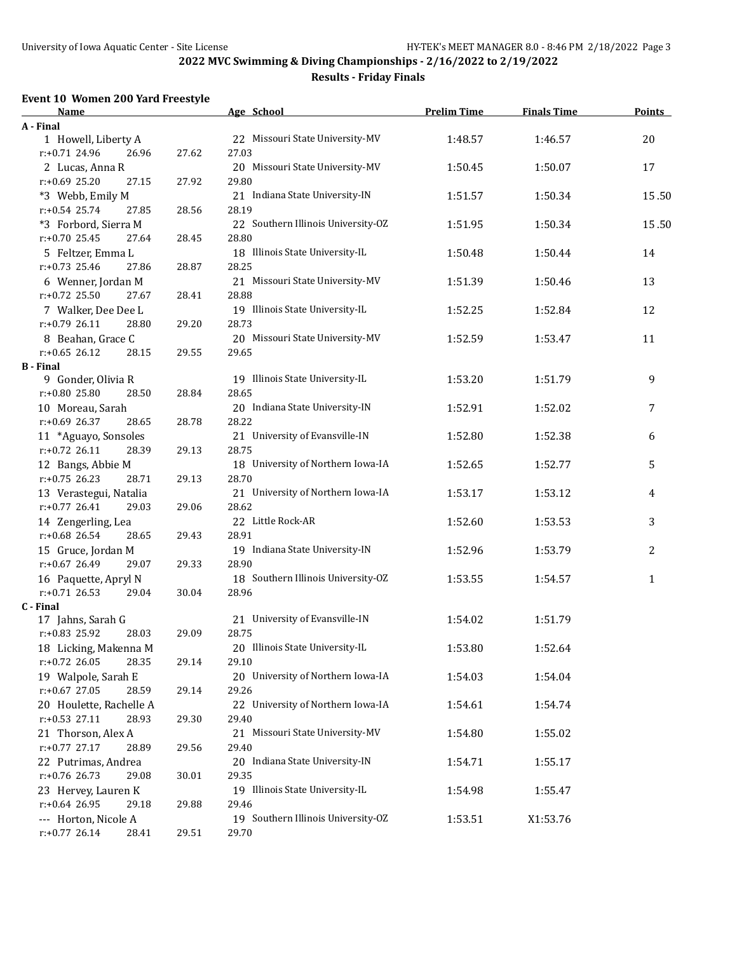# **Results - Friday Finals**

#### **Event 10 Women 200 Yard Freestyle**

| <b>Name</b>               |       | Age School                         | <b>Prelim Time</b> | <b>Finals Time</b> | <b>Points</b> |
|---------------------------|-------|------------------------------------|--------------------|--------------------|---------------|
| A - Final                 |       |                                    |                    |                    |               |
| 1 Howell, Liberty A       |       | 22 Missouri State University-MV    | 1:48.57            | 1:46.57            | 20            |
| r:+0.71 24.96<br>26.96    | 27.62 | 27.03                              |                    |                    |               |
| 2 Lucas, Anna R           |       | 20 Missouri State University-MV    | 1:50.45            | 1:50.07            | 17            |
| $r: +0.69$ 25.20<br>27.15 | 27.92 | 29.80                              |                    |                    |               |
| *3 Webb, Emily M          |       | 21 Indiana State University-IN     | 1:51.57            | 1:50.34            | 15.50         |
| $r: +0.54$ 25.74<br>27.85 | 28.56 | 28.19                              |                    |                    |               |
| *3 Forbord, Sierra M      |       | 22 Southern Illinois University-OZ | 1:51.95            | 1:50.34            | 15.50         |
| $r: +0.70$ 25.45<br>27.64 | 28.45 | 28.80                              |                    |                    |               |
| 5 Feltzer, Emma L         |       | 18 Illinois State University-IL    | 1:50.48            | 1:50.44            | 14            |
| $r: +0.73$ 25.46<br>27.86 | 28.87 | 28.25                              |                    |                    |               |
| 6 Wenner, Jordan M        |       | 21 Missouri State University-MV    | 1:51.39            | 1:50.46            | 13            |
| $r: +0.72$ 25.50<br>27.67 | 28.41 | 28.88                              |                    |                    |               |
| 7 Walker, Dee Dee L       |       | 19 Illinois State University-IL    | 1:52.25            | 1:52.84            | 12            |
| $r: +0.79$ 26.11<br>28.80 | 29.20 | 28.73                              |                    |                    |               |
| 8 Beahan, Grace C         |       | 20 Missouri State University-MV    | 1:52.59            | 1:53.47            | 11            |
| $r: +0.65$ 26.12<br>28.15 | 29.55 | 29.65                              |                    |                    |               |
| <b>B</b> - Final          |       |                                    |                    |                    |               |
| 9 Gonder, Olivia R        |       | 19 Illinois State University-IL    | 1:53.20            | 1:51.79            | 9             |
| $r: +0.80$ 25.80<br>28.50 | 28.84 | 28.65                              |                    |                    |               |
| 10 Moreau, Sarah          |       | 20 Indiana State University-IN     | 1:52.91            | 1:52.02            | 7             |
| $r: +0.69$ 26.37<br>28.65 | 28.78 | 28.22                              |                    |                    |               |
| 11 *Aguayo, Sonsoles      |       | 21 University of Evansville-IN     | 1:52.80            | 1:52.38            | 6             |
| $r: +0.72$ 26.11<br>28.39 | 29.13 | 28.75                              |                    |                    |               |
| 12 Bangs, Abbie M         |       | 18 University of Northern Iowa-IA  | 1:52.65            | 1:52.77            | 5             |
| $r: +0.75$ 26.23<br>28.71 | 29.13 | 28.70                              |                    |                    |               |
| 13 Verastegui, Natalia    |       | 21 University of Northern Iowa-IA  | 1:53.17            | 1:53.12            | 4             |
| $r: +0.77$ 26.41<br>29.03 | 29.06 | 28.62                              |                    |                    |               |
| 14 Zengerling, Lea        |       | 22 Little Rock-AR                  | 1:52.60            | 1:53.53            | 3             |
| $r: +0.68$ 26.54<br>28.65 | 29.43 | 28.91                              |                    |                    |               |
| 15 Gruce, Jordan M        |       | 19 Indiana State University-IN     | 1:52.96            | 1:53.79            | 2             |
| $r: +0.67$ 26.49<br>29.07 | 29.33 | 28.90                              |                    |                    |               |
| 16 Paquette, Apryl N      |       | 18 Southern Illinois University-OZ | 1:53.55            | 1:54.57            | $\mathbf{1}$  |
| $r: +0.71$ 26.53<br>29.04 | 30.04 | 28.96                              |                    |                    |               |
| C - Final                 |       |                                    |                    |                    |               |
| 17 Jahns, Sarah G         |       | 21 University of Evansville-IN     | 1:54.02            | 1:51.79            |               |
| r:+0.83 25.92<br>28.03    | 29.09 | 28.75                              |                    |                    |               |
| 18 Licking, Makenna M     |       | 20 Illinois State University-IL    | 1:53.80            | 1:52.64            |               |
| r:+0.72 26.05<br>28.35    | 29.14 | 29.10                              |                    |                    |               |
| 19 Walpole, Sarah E       |       | 20 University of Northern Iowa-IA  | 1:54.03            | 1:54.04            |               |
| $r: +0.67$ 27.05<br>28.59 | 29.14 | 29.26                              |                    |                    |               |
| 20 Houlette, Rachelle A   |       | 22 University of Northern Iowa-IA  | 1:54.61            | 1:54.74            |               |
| $r: +0.53$ 27.11<br>28.93 | 29.30 | 29.40                              |                    |                    |               |
| 21 Thorson, Alex A        |       | 21 Missouri State University-MV    | 1:54.80            | 1:55.02            |               |
| $r.+0.77$ 27.17<br>28.89  | 29.56 | 29.40                              |                    |                    |               |
| 22 Putrimas, Andrea       |       | 20 Indiana State University-IN     | 1:54.71            | 1:55.17            |               |
| $r.+0.76$ 26.73<br>29.08  | 30.01 | 29.35                              |                    |                    |               |
| 23 Hervey, Lauren K       |       | 19 Illinois State University-IL    | 1:54.98            | 1:55.47            |               |
| r:+0.64 26.95<br>29.18    | 29.88 | 29.46                              |                    |                    |               |
| --- Horton, Nicole A      |       | 19 Southern Illinois University-OZ | 1:53.51            | X1:53.76           |               |
| $r: +0.77$ 26.14<br>28.41 | 29.51 | 29.70                              |                    |                    |               |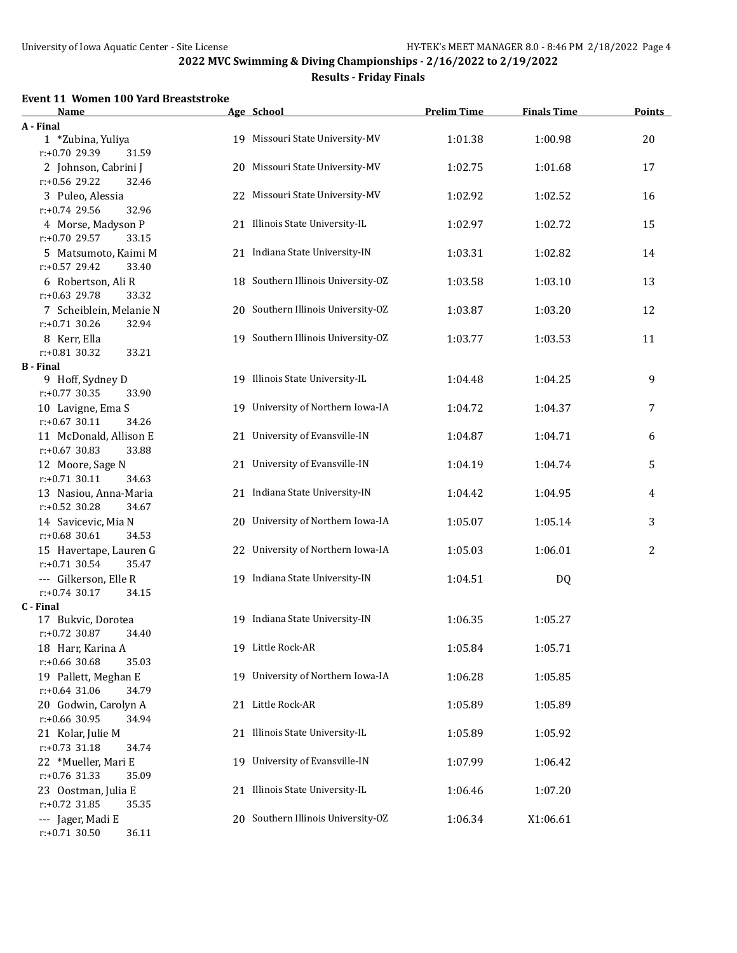# **Results - Friday Finals**

#### **Event 11 Women 100 Yard Breaststroke**

| Name                                           |    | Age School                         | <b>Prelim Time</b> | <b>Finals Time</b> | <b>Points</b>  |
|------------------------------------------------|----|------------------------------------|--------------------|--------------------|----------------|
| A - Final                                      |    |                                    |                    |                    |                |
| 1 *Zubina, Yuliya                              |    | 19 Missouri State University-MV    | 1:01.38            | 1:00.98            | 20             |
| r:+0.70 29.39<br>31.59                         |    |                                    |                    |                    |                |
| 2 Johnson, Cabrini J                           | 20 | Missouri State University-MV       | 1:02.75            | 1:01.68            | 17             |
| r:+0.56 29.22<br>32.46                         |    |                                    |                    |                    |                |
| 3 Puleo, Alessia                               |    | 22 Missouri State University-MV    | 1:02.92            | 1:02.52            | 16             |
| r:+0.74 29.56<br>32.96                         |    |                                    |                    |                    |                |
| 4 Morse, Madyson P                             |    | 21 Illinois State University-IL    | 1:02.97            | 1:02.72            | 15             |
| r:+0.70 29.57<br>33.15                         |    |                                    |                    |                    |                |
| 5 Matsumoto, Kaimi M                           |    | 21 Indiana State University-IN     | 1:03.31            | 1:02.82            | 14             |
| r:+0.57 29.42<br>33.40                         |    |                                    |                    |                    |                |
| 6 Robertson, Ali R                             |    | 18 Southern Illinois University-OZ | 1:03.58            | 1:03.10            | 13             |
| r:+0.63 29.78<br>33.32                         |    |                                    |                    |                    |                |
| 7 Scheiblein, Melanie N                        |    | 20 Southern Illinois University-OZ | 1:03.87            | 1:03.20            | 12             |
| $r: +0.71$ 30.26<br>32.94                      |    |                                    |                    |                    |                |
| 8 Kerr, Ella<br>$r: +0.81$ 30.32               |    | 19 Southern Illinois University-OZ | 1:03.77            | 1:03.53            | 11             |
| 33.21<br><b>B</b> - Final                      |    |                                    |                    |                    |                |
| 9 Hoff, Sydney D                               |    | 19 Illinois State University-IL    | 1:04.48            | 1:04.25            | 9              |
| $r: +0.77$ 30.35<br>33.90                      |    |                                    |                    |                    |                |
| 10 Lavigne, Ema S                              |    | 19 University of Northern Iowa-IA  | 1:04.72            | 1:04.37            | 7              |
| $r: +0.67$ 30.11<br>34.26                      |    |                                    |                    |                    |                |
| 11 McDonald, Allison E                         |    | 21 University of Evansville-IN     | 1:04.87            | 1:04.71            | 6              |
| $r: +0.67$ 30.83<br>33.88                      |    |                                    |                    |                    |                |
| 12 Moore, Sage N                               |    | 21 University of Evansville-IN     | 1:04.19            | 1:04.74            | 5              |
| $r: +0.71$ 30.11<br>34.63                      |    |                                    |                    |                    |                |
| 13 Nasiou, Anna-Maria                          |    | 21 Indiana State University-IN     | 1:04.42            | 1:04.95            | 4              |
| $r: +0.52$ 30.28<br>34.67                      |    |                                    |                    |                    |                |
| 14 Savicevic, Mia N                            |    | 20 University of Northern Iowa-IA  | 1:05.07            | 1:05.14            | 3              |
| $r: +0.68$ 30.61<br>34.53                      |    |                                    |                    |                    |                |
| 15 Havertape, Lauren G                         |    | 22 University of Northern Iowa-IA  | 1:05.03            | 1:06.01            | $\overline{2}$ |
| $r: +0.71$ 30.54<br>35.47                      |    |                                    |                    |                    |                |
| --- Gilkerson, Elle R                          |    | 19 Indiana State University-IN     | 1:04.51            | DQ                 |                |
| $r: +0.74$ 30.17<br>34.15                      |    |                                    |                    |                    |                |
| C - Final                                      |    |                                    |                    |                    |                |
| 17 Bukvic, Dorotea                             |    | 19 Indiana State University-IN     | 1:06.35            | 1:05.27            |                |
| r:+0.72 30.87<br>34.40                         |    |                                    |                    |                    |                |
| 18 Harr, Karina A                              |    | 19 Little Rock-AR                  | 1:05.84            | 1:05.71            |                |
| r:+0.66 30.68<br>35.03<br>19 Pallett, Meghan E |    | 19 University of Northern Iowa-IA  | 1:06.28            |                    |                |
| $r: +0.64$ 31.06<br>34.79                      |    |                                    |                    | 1:05.85            |                |
| 20 Godwin, Carolyn A                           |    | 21 Little Rock-AR                  | 1:05.89            | 1:05.89            |                |
| $r: +0.66$ 30.95<br>34.94                      |    |                                    |                    |                    |                |
| 21 Kolar, Julie M                              |    | 21 Illinois State University-IL    | 1:05.89            | 1:05.92            |                |
| $r: +0.73$ 31.18<br>34.74                      |    |                                    |                    |                    |                |
| 22 *Mueller, Mari E                            |    | 19 University of Evansville-IN     | 1:07.99            | 1:06.42            |                |
| r:+0.76 31.33<br>35.09                         |    |                                    |                    |                    |                |
| 23 Oostman, Julia E                            |    | 21 Illinois State University-IL    | 1:06.46            | 1:07.20            |                |
| $r: +0.72$ 31.85<br>35.35                      |    |                                    |                    |                    |                |
| --- Jager, Madi E                              |    | 20 Southern Illinois University-OZ | 1:06.34            | X1:06.61           |                |
| $r: +0.71$ 30.50<br>36.11                      |    |                                    |                    |                    |                |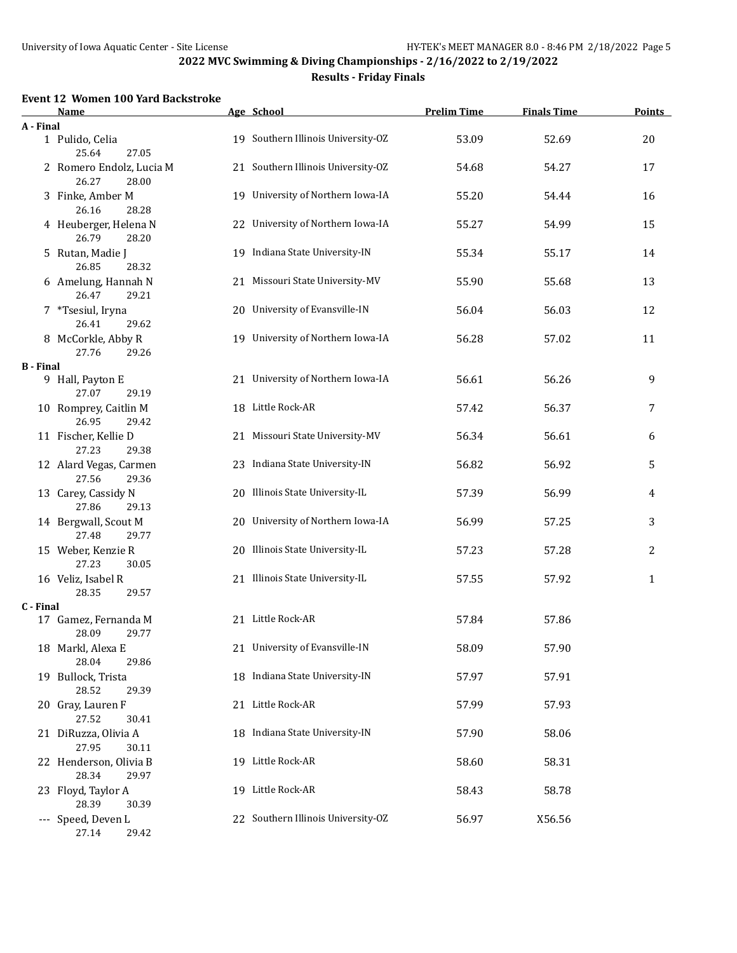# **Results - Friday Finals**

#### **Event 12 Women 100 Yard Backstroke**

|                  | Name                                       |    | Age School                         | <b>Prelim Time</b> | <b>Finals Time</b> | <b>Points</b> |
|------------------|--------------------------------------------|----|------------------------------------|--------------------|--------------------|---------------|
| A - Final        |                                            |    |                                    |                    |                    |               |
|                  | 1 Pulido, Celia<br>25.64<br>27.05          |    | 19 Southern Illinois University-OZ | 53.09              | 52.69              | 20            |
|                  | 2 Romero Endolz, Lucia M<br>26.27<br>28.00 |    | 21 Southern Illinois University-OZ | 54.68              | 54.27              | 17            |
|                  | 3 Finke, Amber M<br>26.16<br>28.28         |    | 19 University of Northern Iowa-IA  | 55.20              | 54.44              | 16            |
|                  | 4 Heuberger, Helena N<br>26.79<br>28.20    |    | 22 University of Northern Iowa-IA  | 55.27              | 54.99              | 15            |
|                  | 5 Rutan, Madie J<br>26.85<br>28.32         |    | 19 Indiana State University-IN     | 55.34              | 55.17              | 14            |
|                  | 6 Amelung, Hannah N<br>29.21<br>26.47      | 21 | Missouri State University-MV       | 55.90              | 55.68              | 13            |
|                  | 7 *Tsesiul, Iryna<br>26.41<br>29.62        |    | 20 University of Evansville-IN     | 56.04              | 56.03              | 12            |
|                  | 8 McCorkle, Abby R<br>27.76<br>29.26       |    | 19 University of Northern Iowa-IA  | 56.28              | 57.02              | 11            |
| <b>B</b> - Final |                                            |    |                                    |                    |                    |               |
|                  | 9 Hall, Payton E<br>27.07<br>29.19         |    | 21 University of Northern Iowa-IA  | 56.61              | 56.26              | 9             |
|                  | 10 Romprey, Caitlin M<br>26.95<br>29.42    |    | 18 Little Rock-AR                  | 57.42              | 56.37              | 7             |
|                  | 11 Fischer, Kellie D<br>27.23<br>29.38     |    | 21 Missouri State University-MV    | 56.34              | 56.61              | 6             |
|                  | 12 Alard Vegas, Carmen<br>27.56<br>29.36   |    | 23 Indiana State University-IN     | 56.82              | 56.92              | 5             |
|                  | 13 Carey, Cassidy N<br>27.86<br>29.13      |    | 20 Illinois State University-IL    | 57.39              | 56.99              | 4             |
|                  | 14 Bergwall, Scout M<br>27.48<br>29.77     |    | 20 University of Northern Iowa-IA  | 56.99              | 57.25              | 3             |
|                  | 15 Weber, Kenzie R<br>27.23<br>30.05       |    | 20 Illinois State University-IL    | 57.23              | 57.28              | 2             |
|                  | 16 Veliz, Isabel R<br>28.35<br>29.57       |    | 21 Illinois State University-IL    | 57.55              | 57.92              | $\mathbf{1}$  |
| C - Final        |                                            |    |                                    |                    |                    |               |
|                  | 17 Gamez, Fernanda M<br>28.09<br>29.77     |    | 21 Little Rock-AR                  | 57.84              | 57.86              |               |
|                  | 18 Markl, Alexa E<br>28.04<br>29.86        |    | 21 University of Evansville-IN     | 58.09              | 57.90              |               |
|                  | 19 Bullock, Trista<br>28.52<br>29.39       |    | 18 Indiana State University-IN     | 57.97              | 57.91              |               |
|                  | 20 Gray, Lauren F<br>27.52<br>30.41        |    | 21 Little Rock-AR                  | 57.99              | 57.93              |               |
|                  | 21 DiRuzza, Olivia A<br>27.95<br>30.11     |    | 18 Indiana State University-IN     | 57.90              | 58.06              |               |
|                  | 22 Henderson, Olivia B<br>28.34<br>29.97   |    | 19 Little Rock-AR                  | 58.60              | 58.31              |               |
|                  | 23 Floyd, Taylor A<br>28.39<br>30.39       |    | 19 Little Rock-AR                  | 58.43              | 58.78              |               |
|                  | --- Speed, Deven L<br>27.14<br>29.42       |    | 22 Southern Illinois University-OZ | 56.97              | X56.56             |               |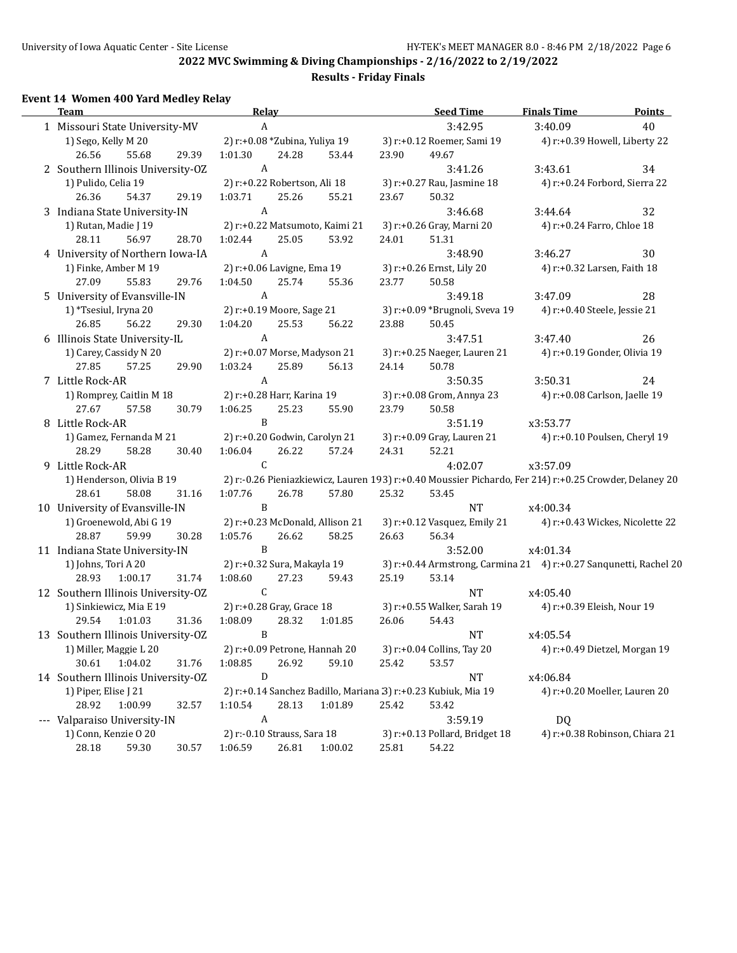**Results - Friday Finals**

# **Event 14 Women 400 Yard Medley Relay**

| <b>Team</b>                        |       | <b>Relay</b>                    |       |         |       | <b>Seed Time</b>                                                                                       | <b>Finals Time</b>              | <b>Points</b>                  |
|------------------------------------|-------|---------------------------------|-------|---------|-------|--------------------------------------------------------------------------------------------------------|---------------------------------|--------------------------------|
| 1 Missouri State University-MV     |       | $\boldsymbol{A}$                |       |         |       | 3:42.95                                                                                                | 3:40.09                         | 40                             |
| 1) Sego, Kelly M 20                |       | 2) r:+0.08 *Zubina, Yuliya 19   |       |         |       | 3) r:+0.12 Roemer, Sami 19                                                                             | 4) r:+0.39 Howell, Liberty 22   |                                |
| 26.56<br>55.68                     | 29.39 | 1:01.30                         | 24.28 | 53.44   | 23.90 | 49.67                                                                                                  |                                 |                                |
| 2 Southern Illinois University-OZ  |       | $\mathbf{A}$                    |       |         |       | 3:41.26                                                                                                | 3:43.61                         | 34                             |
| 1) Pulido, Celia 19                |       | 2) r:+0.22 Robertson, Ali 18    |       |         |       | 3) r:+0.27 Rau, Jasmine 18                                                                             | 4) r:+0.24 Forbord, Sierra 22   |                                |
| 26.36<br>54.37                     | 29.19 | 1:03.71                         | 25.26 | 55.21   | 23.67 | 50.32                                                                                                  |                                 |                                |
| 3 Indiana State University-IN      |       | $\mathbf{A}$                    |       |         |       | 3:46.68                                                                                                | 3:44.64                         | 32                             |
| 1) Rutan, Madie J 19               |       | 2) r:+0.22 Matsumoto, Kaimi 21  |       |         |       | 3) r:+0.26 Gray, Marni 20                                                                              | 4) r:+0.24 Farro, Chloe 18      |                                |
| 28.11<br>56.97                     | 28.70 | 1:02.44                         | 25.05 | 53.92   | 24.01 | 51.31                                                                                                  |                                 |                                |
| 4 University of Northern Iowa-IA   |       | $\mathbf{A}$                    |       |         |       | 3:48.90                                                                                                | 3:46.27                         | 30                             |
| 1) Finke, Amber M 19               |       | 2) r:+0.06 Lavigne, Ema 19      |       |         |       | 3) r:+0.26 Ernst, Lily 20                                                                              | 4) r:+0.32 Larsen, Faith 18     |                                |
| 55.83<br>27.09                     | 29.76 | 1:04.50                         | 25.74 | 55.36   | 23.77 | 50.58                                                                                                  |                                 |                                |
| 5 University of Evansville-IN      |       | $\mathbf{A}$                    |       |         |       | 3:49.18                                                                                                | 3:47.09                         | 28                             |
| 1) *Tsesiul, Iryna 20              |       | 2) r:+0.19 Moore, Sage 21       |       |         |       | 3) r:+0.09 *Brugnoli, Sveva 19                                                                         | 4) r:+0.40 Steele, Jessie 21    |                                |
| 56.22<br>26.85                     | 29.30 | 1:04.20                         | 25.53 | 56.22   | 23.88 | 50.45                                                                                                  |                                 |                                |
| 6 Illinois State University-IL     |       | $\mathbf{A}$                    |       |         |       | 3:47.51                                                                                                | 3:47.40                         | 26                             |
| 1) Carey, Cassidy N 20             |       | 2) r:+0.07 Morse, Madyson 21    |       |         |       | 3) r:+0.25 Naeger, Lauren 21                                                                           | 4) r:+0.19 Gonder, Olivia 19    |                                |
| 27.85<br>57.25                     | 29.90 | 1:03.24                         | 25.89 | 56.13   | 24.14 | 50.78                                                                                                  |                                 |                                |
| 7 Little Rock-AR                   |       | $\mathbf{A}$                    |       |         |       | 3:50.35                                                                                                | 3:50.31                         | 24                             |
| 1) Romprey, Caitlin M 18           |       | 2) r:+0.28 Harr, Karina 19      |       |         |       | 3) r:+0.08 Grom, Annya 23                                                                              | 4) r:+0.08 Carlson, Jaelle 19   |                                |
| 27.67<br>57.58                     | 30.79 | 1:06.25                         | 25.23 | 55.90   | 23.79 | 50.58                                                                                                  |                                 |                                |
| 8 Little Rock-AR                   |       | $\, {\bf B}$                    |       |         |       | 3:51.19                                                                                                | x3:53.77                        |                                |
| 1) Gamez, Fernanda M 21            |       | 2) r:+0.20 Godwin, Carolyn 21   |       |         |       | 3) r:+0.09 Gray, Lauren 21                                                                             | 4) r:+0.10 Poulsen, Cheryl 19   |                                |
| 28.29<br>58.28                     | 30.40 | 1:06.04                         | 26.22 | 57.24   | 24.31 | 52.21                                                                                                  |                                 |                                |
| 9 Little Rock-AR                   |       | $\mathsf{C}$                    |       |         |       | 4:02.07                                                                                                | x3:57.09                        |                                |
| 1) Henderson, Olivia B 19          |       |                                 |       |         |       | 2) r:-0.26 Pieniazkiewicz, Lauren 193) r:+0.40 Moussier Pichardo, Fer 214) r:+0.25 Crowder, Delaney 20 |                                 |                                |
| 58.08<br>28.61                     | 31.16 | 1:07.76                         | 26.78 | 57.80   | 25.32 | 53.45                                                                                                  |                                 |                                |
| 10 University of Evansville-IN     |       | $\mathbf{B}$                    |       |         |       | NT                                                                                                     | x4:00.34                        |                                |
| 1) Groenewold, Abi G 19            |       | 2) r:+0.23 McDonald, Allison 21 |       |         |       | 3) r:+0.12 Vasquez, Emily 21                                                                           | 4) r:+0.43 Wickes, Nicolette 22 |                                |
| 28.87<br>59.99                     | 30.28 | 1:05.76                         | 26.62 | 58.25   | 26.63 | 56.34                                                                                                  |                                 |                                |
| 11 Indiana State University-IN     |       | B                               |       |         |       | 3:52.00                                                                                                | x4:01.34                        |                                |
| 1) Johns, Tori A 20                |       | 2) r:+0.32 Sura, Makayla 19     |       |         |       | 3) r:+0.44 Armstrong, Carmina 21 4) r:+0.27 Sanqunetti, Rachel 20                                      |                                 |                                |
| 28.93<br>1:00.17                   | 31.74 | 1:08.60                         | 27.23 | 59.43   | 25.19 | 53.14                                                                                                  |                                 |                                |
| 12 Southern Illinois University-OZ |       | $\mathsf{C}$                    |       |         |       | $\rm{NT}$                                                                                              | x4:05.40                        |                                |
| 1) Sinkiewicz, Mia E 19            |       | 2) r:+0.28 Gray, Grace 18       |       |         |       | 3) r:+0.55 Walker, Sarah 19                                                                            | 4) r:+0.39 Eleish, Nour 19      |                                |
| 29.54<br>1:01.03                   | 31.36 | 1:08.09                         | 28.32 | 1:01.85 | 26.06 | 54.43                                                                                                  |                                 |                                |
| 13 Southern Illinois University-OZ |       | B                               |       |         |       | <b>NT</b>                                                                                              | x4:05.54                        |                                |
| 1) Miller, Maggie L 20             |       | 2) r:+0.09 Petrone, Hannah 20   |       |         |       | 3) r:+0.04 Collins, Tay 20                                                                             |                                 | 4) r:+0.49 Dietzel, Morgan 19  |
| 30.61<br>1:04.02                   | 31.76 | 1:08.85                         | 26.92 | 59.10   | 25.42 | 53.57                                                                                                  |                                 |                                |
| 14 Southern Illinois University-OZ |       | $\mathbf D$                     |       |         |       | NT                                                                                                     | x4:06.84                        |                                |
| 1) Piper, Elise J 21               |       |                                 |       |         |       | 2) r:+0.14 Sanchez Badillo, Mariana 3) r:+0.23 Kubiuk, Mia 19                                          |                                 | 4) r:+0.20 Moeller, Lauren 20  |
| 28.92<br>1:00.99                   | 32.57 | 1:10.54                         | 28.13 | 1:01.89 | 25.42 | 53.42                                                                                                  |                                 |                                |
| --- Valparaiso University-IN       |       | $\boldsymbol{A}$                |       |         |       | 3:59.19                                                                                                | <b>DQ</b>                       |                                |
| 1) Conn, Kenzie O 20               |       | 2) r:-0.10 Strauss, Sara 18     |       |         |       | 3) r:+0.13 Pollard, Bridget 18                                                                         |                                 | 4) r:+0.38 Robinson, Chiara 21 |
| 28.18<br>59.30                     | 30.57 | 1:06.59                         | 26.81 | 1:00.02 | 25.81 | 54.22                                                                                                  |                                 |                                |
|                                    |       |                                 |       |         |       |                                                                                                        |                                 |                                |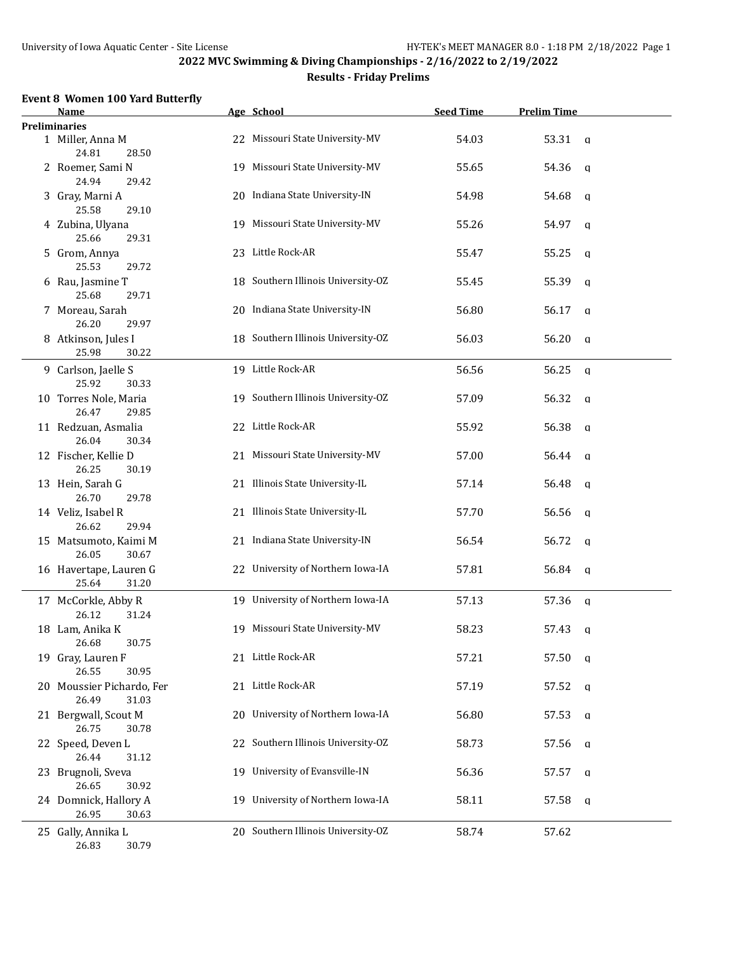| Name                                        |     | Age School                         | <b>Seed Time</b> | <b>Prelim Time</b>   |  |
|---------------------------------------------|-----|------------------------------------|------------------|----------------------|--|
| <b>Preliminaries</b>                        |     |                                    |                  |                      |  |
| 1 Miller, Anna M<br>24.81<br>28.50          |     | 22 Missouri State University-MV    | 54.03            | 53.31<br>$\alpha$    |  |
| 2 Roemer, Sami N<br>24.94<br>29.42          |     | 19 Missouri State University-MV    | 55.65            | 54.36<br>q           |  |
| 3 Gray, Marni A<br>25.58<br>29.10           |     | 20 Indiana State University-IN     | 54.98            | 54.68<br>q           |  |
| 4 Zubina, Ulyana<br>25.66<br>29.31          |     | 19 Missouri State University-MV    | 55.26            | 54.97<br>$\mathbf q$ |  |
| 5 Grom, Annya<br>25.53<br>29.72             |     | 23 Little Rock-AR                  | 55.47            | 55.25<br>a           |  |
| 6 Rau, Jasmine T                            |     | 18 Southern Illinois University-OZ | 55.45            | 55.39<br>q           |  |
| 25.68<br>29.71<br>7 Moreau, Sarah           |     | 20 Indiana State University-IN     | 56.80            | 56.17<br>q           |  |
| 26.20<br>29.97<br>8 Atkinson, Jules I       |     | 18 Southern Illinois University-OZ | 56.03            | 56.20<br>q           |  |
| 25.98<br>30.22                              |     |                                    |                  |                      |  |
| 9 Carlson, Jaelle S<br>25.92<br>30.33       |     | 19 Little Rock-AR                  | 56.56            | 56.25<br>q           |  |
| 10 Torres Nole, Maria<br>26.47<br>29.85     |     | 19 Southern Illinois University-OZ | 57.09            | 56.32<br>q           |  |
| 11 Redzuan, Asmalia<br>26.04<br>30.34       |     | 22 Little Rock-AR                  | 55.92            | 56.38<br>q           |  |
| 12 Fischer, Kellie D<br>26.25<br>30.19      |     | 21 Missouri State University-MV    | 57.00            | 56.44<br>q           |  |
| 13 Hein, Sarah G<br>26.70<br>29.78          |     | 21 Illinois State University-IL    | 57.14            | 56.48<br>$\mathbf q$ |  |
| 14 Veliz, Isabel R<br>26.62<br>29.94        |     | 21 Illinois State University-IL    | 57.70            | 56.56<br>q           |  |
| 15 Matsumoto, Kaimi M<br>26.05<br>30.67     |     | 21 Indiana State University-IN     | 56.54            | 56.72<br>a           |  |
| 16 Havertape, Lauren G<br>25.64<br>31.20    |     | 22 University of Northern Iowa-IA  | 57.81            | 56.84<br>q           |  |
| 17 McCorkle, Abby R<br>26.12                |     | 19 University of Northern Iowa-IA  | 57.13            | 57.36<br>q           |  |
| 31.24<br>18 Lam, Anika K                    |     | 19 Missouri State University-MV    | 58.23            | 57.43<br>q           |  |
| 30.75<br>26.68<br>19 Gray, Lauren F         |     | 21 Little Rock-AR                  | 57.21            | 57.50<br>q           |  |
| 26.55<br>30.95<br>20 Moussier Pichardo, Fer |     | 21 Little Rock-AR                  | 57.19            | 57.52<br>a           |  |
| 26.49<br>31.03<br>21 Bergwall, Scout M      |     | 20 University of Northern Iowa-IA  | 56.80            | 57.53<br>a           |  |
| 26.75<br>30.78<br>22 Speed, Deven L         |     | 22 Southern Illinois University-OZ | 58.73            | 57.56<br>a           |  |
| 26.44<br>31.12<br>23 Brugnoli, Sveva        | 19. | University of Evansville-IN        | 56.36            | 57.57<br>q           |  |
| 26.65<br>30.92<br>24 Domnick, Hallory A     | 19. | University of Northern Iowa-IA     | 58.11            | 57.58<br>q           |  |
| 26.95<br>30.63                              |     |                                    |                  |                      |  |
| 25 Gally, Annika L<br>26.83<br>30.79        |     | 20 Southern Illinois University-OZ | 58.74            | 57.62                |  |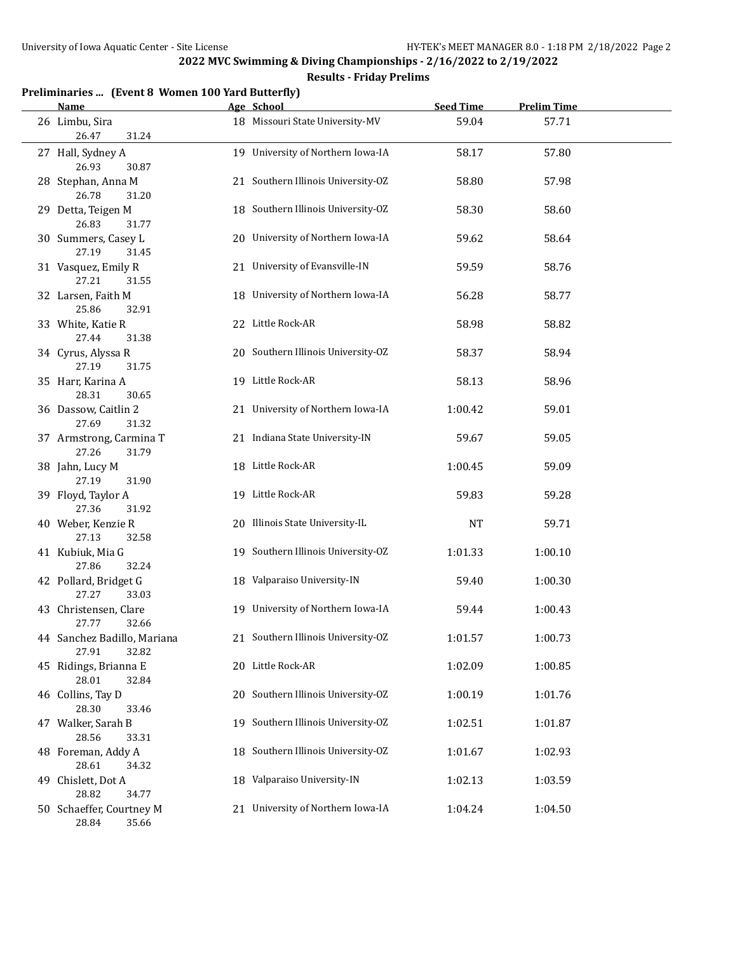| Preliminaries  (Event 8 Women 100 Yard Butterfly) |  |  |  |  |
|---------------------------------------------------|--|--|--|--|
|---------------------------------------------------|--|--|--|--|

| <b>Name</b>                                   | Age School                         | <b>Seed Time</b> | <b>Prelim Time</b> |  |
|-----------------------------------------------|------------------------------------|------------------|--------------------|--|
| 26 Limbu, Sira<br>26.47<br>31.24              | 18 Missouri State University-MV    | 59.04            | 57.71              |  |
| 27 Hall, Sydney A<br>26.93<br>30.87           | 19 University of Northern Iowa-IA  | 58.17            | 57.80              |  |
| 28 Stephan, Anna M<br>26.78<br>31.20          | 21 Southern Illinois University-OZ | 58.80            | 57.98              |  |
| 29 Detta, Teigen M<br>26.83<br>31.77          | 18 Southern Illinois University-OZ | 58.30            | 58.60              |  |
| 30 Summers, Casey L<br>27.19<br>31.45         | 20 University of Northern Iowa-IA  | 59.62            | 58.64              |  |
| 31 Vasquez, Emily R<br>27.21<br>31.55         | 21 University of Evansville-IN     | 59.59            | 58.76              |  |
| 32 Larsen, Faith M<br>25.86<br>32.91          | 18 University of Northern Iowa-IA  | 56.28            | 58.77              |  |
| 33 White, Katie R<br>27.44<br>31.38           | 22 Little Rock-AR                  | 58.98            | 58.82              |  |
| 34 Cyrus, Alyssa R<br>27.19<br>31.75          | 20 Southern Illinois University-OZ | 58.37            | 58.94              |  |
| 35 Harr, Karina A<br>28.31<br>30.65           | 19 Little Rock-AR                  | 58.13            | 58.96              |  |
| 36 Dassow, Caitlin 2<br>27.69<br>31.32        | 21 University of Northern Iowa-IA  | 1:00.42          | 59.01              |  |
| 37 Armstrong, Carmina T<br>27.26<br>31.79     | 21 Indiana State University-IN     | 59.67            | 59.05              |  |
| 38 Jahn, Lucy M<br>27.19<br>31.90             | 18 Little Rock-AR                  | 1:00.45          | 59.09              |  |
| 39 Floyd, Taylor A<br>27.36<br>31.92          | 19 Little Rock-AR                  | 59.83            | 59.28              |  |
| 40 Weber, Kenzie R<br>27.13<br>32.58          | 20 Illinois State University-IL    | NT               | 59.71              |  |
| 41 Kubiuk, Mia G<br>27.86<br>32.24            | 19 Southern Illinois University-OZ | 1:01.33          | 1:00.10            |  |
| 42 Pollard, Bridget G<br>27.27<br>33.03       | 18 Valparaiso University-IN        | 59.40            | 1:00.30            |  |
| 43 Christensen, Clare<br>32.66<br>27.77       | 19 University of Northern Iowa-IA  | 59.44            | 1:00.43            |  |
| 44 Sanchez Badillo, Mariana<br>32.82<br>27.91 | 21 Southern Illinois University-OZ | 1:01.57          | 1:00.73            |  |
| 45 Ridings, Brianna E<br>28.01<br>32.84       | 20 Little Rock-AR                  | 1:02.09          | 1:00.85            |  |
| 46 Collins, Tay D<br>28.30<br>33.46           | 20 Southern Illinois University-OZ | 1:00.19          | 1:01.76            |  |
| 47 Walker, Sarah B<br>28.56<br>33.31          | 19 Southern Illinois University-OZ | 1:02.51          | 1:01.87            |  |
| 48 Foreman, Addy A<br>28.61<br>34.32          | 18 Southern Illinois University-OZ | 1:01.67          | 1:02.93            |  |
| 49 Chislett, Dot A<br>28.82<br>34.77          | 18 Valparaiso University-IN        | 1:02.13          | 1:03.59            |  |
| 50 Schaeffer, Courtney M<br>28.84 35.66       | 21 University of Northern Iowa-IA  | 1:04.24          | 1:04.50            |  |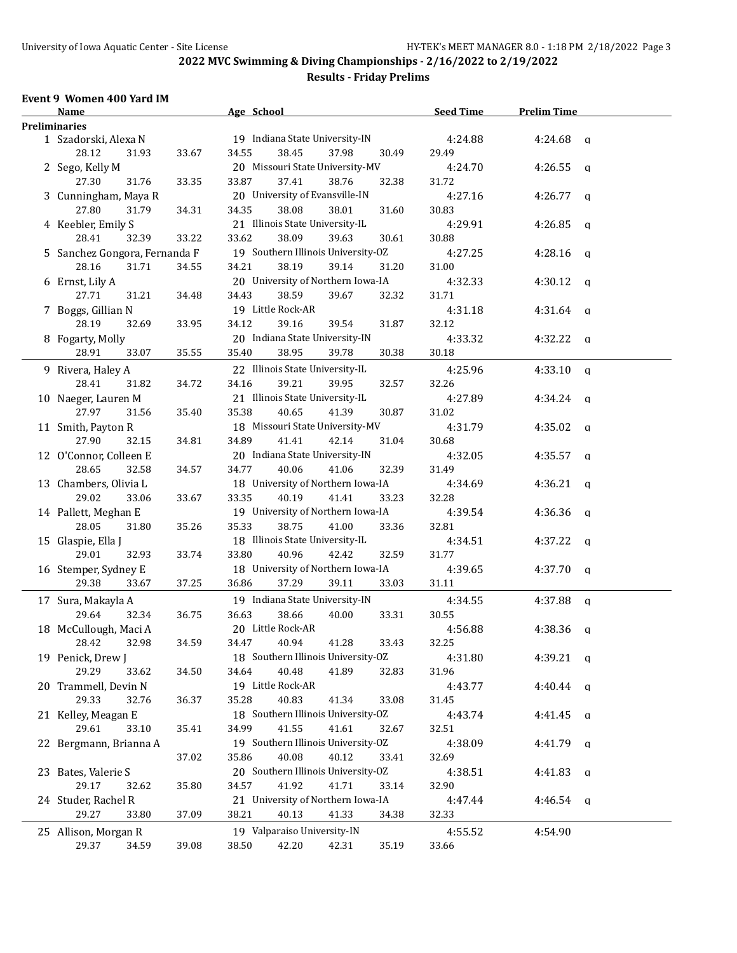# **Results - Friday Prelims**

#### **Event 9 Women 400 Yard IM**

| <b>Name</b>                   |       | Age School                         |       | <b>Seed Time</b> | <b>Prelim Time</b> |             |
|-------------------------------|-------|------------------------------------|-------|------------------|--------------------|-------------|
| <b>Preliminaries</b>          |       |                                    |       |                  |                    |             |
| 1 Szadorski, Alexa N          |       | 19 Indiana State University-IN     |       | 4:24.88          | 4:24.68            | $\mathbf q$ |
| 28.12<br>31.93                | 33.67 | 34.55<br>38.45<br>37.98            | 30.49 | 29.49            |                    |             |
| 2 Sego, Kelly M               |       | 20 Missouri State University-MV    |       | 4:24.70          | 4:26.55            | a           |
| 27.30<br>31.76                | 33.35 | 33.87<br>37.41<br>38.76            | 32.38 | 31.72            |                    |             |
| 3 Cunningham, Maya R          |       | 20 University of Evansville-IN     |       | 4:27.16          | 4:26.77            | q           |
| 27.80<br>31.79                | 34.31 | 34.35<br>38.08<br>38.01            | 31.60 | 30.83            |                    |             |
| 4 Keebler, Emily S            |       | 21 Illinois State University-IL    |       | 4:29.91          | 4:26.85            | q           |
| 28.41<br>32.39                | 33.22 | 33.62<br>38.09<br>39.63            | 30.61 | 30.88            |                    |             |
| 5 Sanchez Gongora, Fernanda F |       | 19 Southern Illinois University-OZ |       | 4:27.25          | 4:28.16            | a           |
| 28.16<br>31.71                | 34.55 | 34.21<br>38.19<br>39.14            | 31.20 | 31.00            |                    |             |
| 6 Ernst, Lily A               |       | 20 University of Northern Iowa-IA  |       | 4:32.33          | 4:30.12            | q           |
| 27.71<br>31.21                | 34.48 | 34.43<br>38.59<br>39.67            | 32.32 | 31.71            |                    |             |
|                               |       | 19 Little Rock-AR                  |       | 4:31.18          |                    |             |
| 7 Boggs, Gillian N            |       | 39.16<br>39.54                     |       |                  | 4:31.64            | q           |
| 28.19<br>32.69                | 33.95 | 34.12                              | 31.87 | 32.12            |                    |             |
| 8 Fogarty, Molly              |       | 20 Indiana State University-IN     |       | 4:33.32          | 4:32.22            | q           |
| 33.07<br>28.91                | 35.55 | 35.40<br>38.95<br>39.78            | 30.38 | 30.18            |                    |             |
| 9 Rivera, Haley A             |       | 22 Illinois State University-IL    |       | 4:25.96          | 4:33.10            | q           |
| 31.82<br>28.41                | 34.72 | 39.21<br>34.16<br>39.95            | 32.57 | 32.26            |                    |             |
| 10 Naeger, Lauren M           |       | 21 Illinois State University-IL    |       | 4:27.89          | 4:34.24            | q           |
| 27.97<br>31.56                | 35.40 | 35.38<br>40.65<br>41.39            | 30.87 | 31.02            |                    |             |
| 11 Smith, Payton R            |       | 18 Missouri State University-MV    |       | 4:31.79          | 4:35.02            | q           |
| 27.90<br>32.15                | 34.81 | 34.89<br>41.41<br>42.14            | 31.04 | 30.68            |                    |             |
| 12 O'Connor, Colleen E        |       | 20 Indiana State University-IN     |       | 4:32.05          | 4:35.57            | q           |
| 28.65<br>32.58                | 34.57 | 34.77<br>40.06<br>41.06            | 32.39 | 31.49            |                    |             |
| 13 Chambers, Olivia L         |       | 18 University of Northern Iowa-IA  |       | 4:34.69          | 4:36.21            | q           |
| 29.02<br>33.06                | 33.67 | 33.35<br>40.19<br>41.41            | 33.23 | 32.28            |                    |             |
| 14 Pallett, Meghan E          |       | 19 University of Northern Iowa-IA  |       | 4:39.54          | 4:36.36            | q           |
| 28.05<br>31.80                | 35.26 | 35.33<br>38.75<br>41.00            | 33.36 | 32.81            |                    |             |
| 15 Glaspie, Ella J            |       | 18 Illinois State University-IL    |       | 4:34.51          | 4:37.22            | q           |
| 29.01<br>32.93                | 33.74 | 33.80<br>40.96<br>42.42            | 32.59 | 31.77            |                    |             |
| 16 Stemper, Sydney E          |       | 18 University of Northern Iowa-IA  |       | 4:39.65          | 4:37.70            | q           |
| 29.38<br>33.67                | 37.25 | 36.86<br>37.29<br>39.11            | 33.03 | 31.11            |                    |             |
|                               |       | 19 Indiana State University-IN     |       |                  |                    |             |
| 17 Sura, Makayla A<br>29.64   |       | 36.63<br>38.66                     |       | 4:34.55          | 4:37.88            | q           |
| 32.34                         | 36.75 | 40.00                              | 33.31 | 30.55            |                    |             |
| 18 McCullough, Maci A         |       | 20 Little Rock-AR                  |       | 4:56.88          | 4:38.36            | q           |
| 28.42 32.98                   | 34.59 | 34.47<br>40.94<br>41.28            | 33.43 | 32.25            |                    |             |
| 19 Penick, Drew J             |       | 18 Southern Illinois University-OZ |       | 4:31.80          | $4:39.21$ q        |             |
| 29.29<br>33.62                | 34.50 | 40.48<br>41.89<br>34.64            | 32.83 | 31.96            |                    |             |
| 20 Trammell, Devin N          |       | 19 Little Rock-AR                  |       | 4:43.77          | $4:40.44$ a        |             |
| 29.33<br>32.76                | 36.37 | 40.83<br>35.28<br>41.34            | 33.08 | 31.45            |                    |             |
| 21 Kelley, Meagan E           |       | 18 Southern Illinois University-OZ |       | 4:43.74          | $4:41.45$ q        |             |
| 29.61<br>33.10                | 35.41 | 41.55<br>34.99<br>41.61            | 32.67 | 32.51            |                    |             |
| 22 Bergmann, Brianna A        |       | 19 Southern Illinois University-OZ |       | 4:38.09          | $4:41.79$ q        |             |
|                               | 37.02 | 40.08<br>35.86<br>40.12            | 33.41 | 32.69            |                    |             |
| 23 Bates, Valerie S           |       | 20 Southern Illinois University-OZ |       | 4:38.51          | 4:41.83 $q$        |             |
| 29.17<br>32.62                | 35.80 | 34.57<br>41.92<br>41.71            | 33.14 | 32.90            |                    |             |
| 24 Studer, Rachel R           |       | 21 University of Northern Iowa-IA  |       | 4:47.44          | $4:46.54$ q        |             |
| 29.27<br>33.80                | 37.09 | 38.21<br>40.13<br>41.33            | 34.38 | 32.33            |                    |             |
| 25 Allison, Morgan R          |       | 19 Valparaiso University-IN        |       | 4:55.52          | 4:54.90            |             |
| 29.37<br>34.59                | 39.08 | 42.20<br>38.50<br>42.31            | 35.19 | 33.66            |                    |             |
|                               |       |                                    |       |                  |                    |             |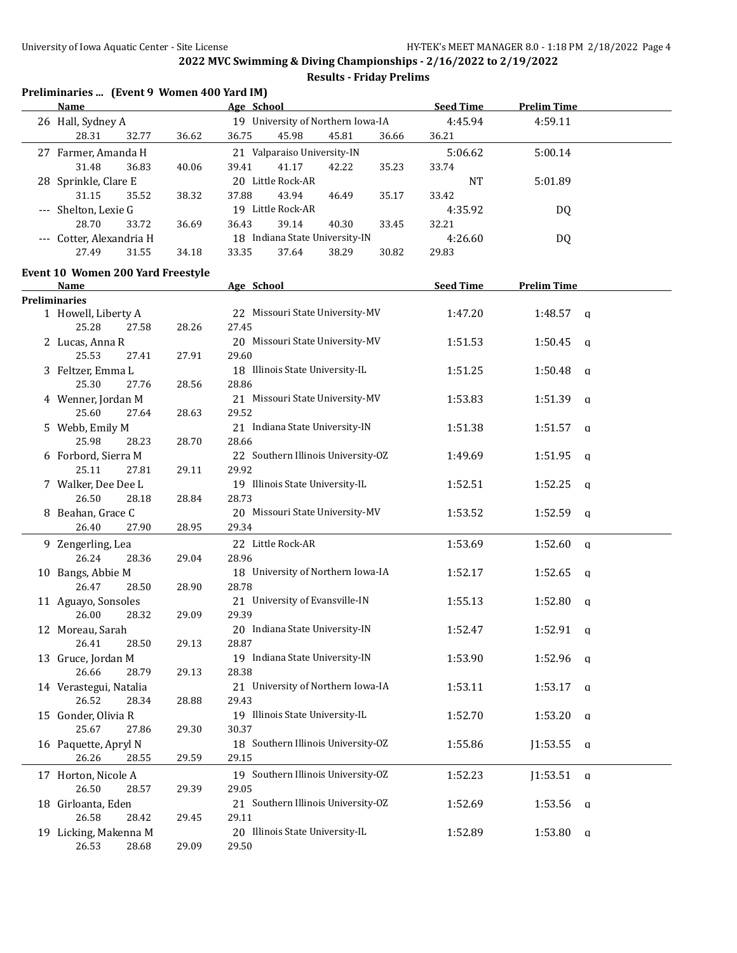| Preliminaries  (Event 9 Women 400 Yard IM) |  |  |  |  |  |
|--------------------------------------------|--|--|--|--|--|
|--------------------------------------------|--|--|--|--|--|

| <u>Name</u>                           |       | Age School                         | <b>Seed Time</b> | <b>Prelim Time</b>      |  |
|---------------------------------------|-------|------------------------------------|------------------|-------------------------|--|
| 26 Hall, Sydney A                     |       | 19 University of Northern Iowa-IA  | 4:45.94          | 4:59.11                 |  |
| 28.31<br>32.77                        | 36.62 | 36.75<br>45.98<br>45.81<br>36.66   | 36.21            |                         |  |
| 27 Farmer, Amanda H                   |       | 21 Valparaiso University-IN        | 5:06.62          | 5:00.14                 |  |
| 31.48<br>36.83                        | 40.06 | 41.17<br>39.41<br>42.22<br>35.23   | 33.74            |                         |  |
| 28 Sprinkle, Clare E                  |       | 20 Little Rock-AR                  | <b>NT</b>        | 5:01.89                 |  |
| 31.15<br>35.52                        | 38.32 | 37.88<br>43.94<br>46.49<br>35.17   | 33.42            |                         |  |
|                                       |       | 19 Little Rock-AR                  |                  |                         |  |
| --- Shelton, Lexie G                  |       |                                    | 4:35.92          | DQ                      |  |
| 28.70<br>33.72                        | 36.69 | 36.43<br>39.14<br>40.30<br>33.45   | 32.21            |                         |  |
| --- Cotter, Alexandria H              |       | 18 Indiana State University-IN     | 4:26.60          | DQ                      |  |
| 31.55<br>27.49                        | 34.18 | 37.64<br>38.29<br>30.82<br>33.35   | 29.83            |                         |  |
| Event 10 Women 200 Yard Freestyle     |       |                                    |                  |                         |  |
| Name                                  |       | Age School                         | <b>Seed Time</b> | <b>Prelim Time</b>      |  |
| <b>Preliminaries</b>                  |       |                                    |                  |                         |  |
| 1 Howell, Liberty A                   |       | 22 Missouri State University-MV    | 1:47.20          | 1:48.57<br>q            |  |
| 25.28<br>27.58                        | 28.26 | 27.45                              |                  |                         |  |
| 2 Lucas, Anna R                       |       | 20 Missouri State University-MV    | 1:51.53          | 1:50.45<br><b>q</b>     |  |
| 25.53<br>27.41                        | 27.91 | 29.60                              |                  |                         |  |
| 3 Feltzer, Emma L                     |       | 18 Illinois State University-IL    | 1:51.25          | 1:50.48<br>q            |  |
| 25.30<br>27.76                        | 28.56 | 28.86                              |                  |                         |  |
| 4 Wenner, Jordan M                    |       | 21 Missouri State University-MV    | 1:53.83          | 1:51.39<br>a            |  |
| 25.60<br>27.64                        | 28.63 | 29.52                              |                  |                         |  |
| 5 Webb, Emily M                       |       | 21 Indiana State University-IN     | 1:51.38          | 1:51.57<br>q            |  |
| 25.98<br>28.23                        | 28.70 | 28.66                              |                  |                         |  |
| 6 Forbord, Sierra M                   |       | 22 Southern Illinois University-OZ | 1:49.69          | 1:51.95<br>q            |  |
| 25.11<br>27.81                        | 29.11 | 29.92                              |                  |                         |  |
| 7 Walker, Dee Dee L                   |       | 19 Illinois State University-IL    | 1:52.51          | 1:52.25<br>q            |  |
| 26.50<br>28.18                        | 28.84 | 28.73                              |                  |                         |  |
| 8 Beahan, Grace C                     |       | 20 Missouri State University-MV    | 1:53.52          | 1:52.59<br>q            |  |
| 26.40<br>27.90                        | 28.95 | 29.34                              |                  |                         |  |
| 9 Zengerling, Lea                     |       | 22 Little Rock-AR                  | 1:53.69          | 1:52.60<br>$\mathsf{q}$ |  |
| 26.24<br>28.36                        | 29.04 | 28.96                              |                  |                         |  |
| 10 Bangs, Abbie M                     |       | 18 University of Northern Iowa-IA  |                  |                         |  |
| 26.47<br>28.50                        | 28.90 | 28.78                              | 1:52.17          | 1:52.65<br>q            |  |
|                                       |       | 21 University of Evansville-IN     |                  |                         |  |
| 11 Aguayo, Sonsoles<br>26.00<br>28.32 |       |                                    | 1:55.13          | 1:52.80<br>q            |  |
|                                       | 29.09 | 29.39                              |                  |                         |  |
| 12 Moreau, Sarah                      |       | 20 Indiana State University-IN     | 1:52.47          | 1:52.91<br>a            |  |
| 26.41<br>28.50                        | 29.13 | 28.87                              |                  |                         |  |
| 13 Gruce, Jordan M                    |       | 19 Indiana State University-IN     | 1:53.90          | $1:52.96$ a             |  |
| 26.66<br>28.79                        | 29.13 | 28.38                              |                  |                         |  |
| 14 Verastegui, Natalia                |       | 21 University of Northern Iowa-IA  | 1:53.11          | $1:53.17$ a             |  |
| 26.52<br>28.34                        | 28.88 | 29.43                              |                  |                         |  |
| 15 Gonder, Olivia R                   |       | 19 Illinois State University-IL    | 1:52.70          | 1:53.20<br>$\mathsf{q}$ |  |
| 25.67<br>27.86                        | 29.30 | 30.37                              |                  |                         |  |
| 16 Paquette, Apryl N                  |       | 18 Southern Illinois University-OZ | 1:55.86          | J1:53.55<br>q           |  |
| 26.26<br>28.55                        | 29.59 | 29.15                              |                  |                         |  |
| 17 Horton, Nicole A                   |       | 19 Southern Illinois University-OZ | 1:52.23          | $J1:53.51$ a            |  |
| 26.50<br>28.57                        | 29.39 | 29.05                              |                  |                         |  |
| 18 Girloanta, Eden                    |       | 21 Southern Illinois University-OZ | 1:52.69          | 1:53.56<br><b>a</b>     |  |
| 26.58<br>28.42                        | 29.45 | 29.11                              |                  |                         |  |
| 19 Licking, Makenna M                 |       | 20 Illinois State University-IL    | 1:52.89          | 1:53.80<br>a            |  |
| 26.53<br>28.68                        | 29.09 | 29.50                              |                  |                         |  |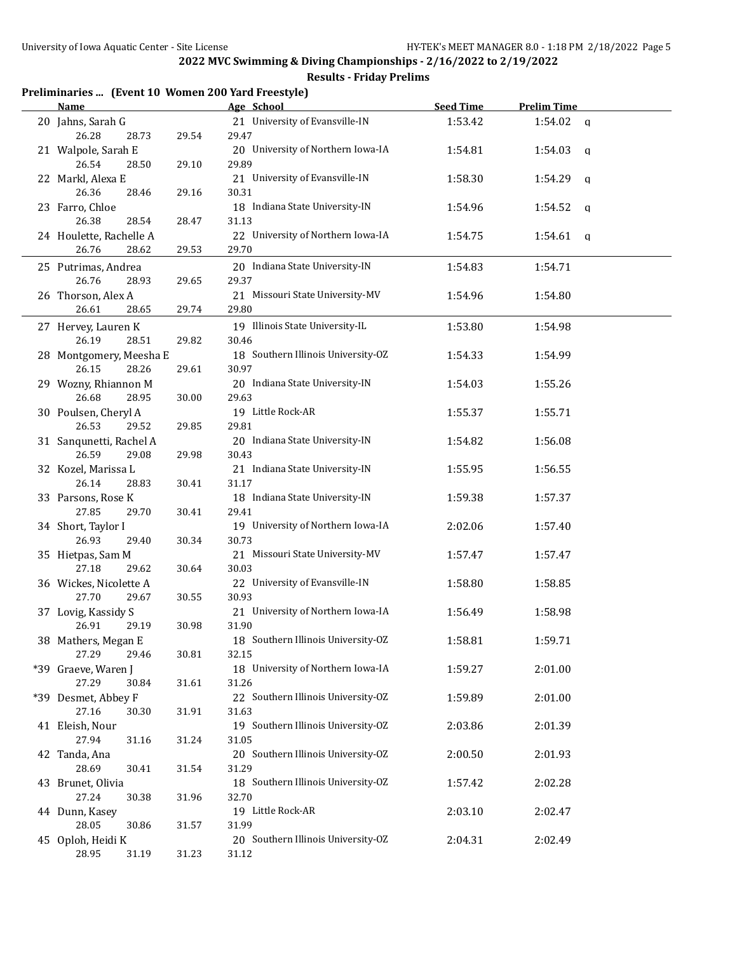| Preliminaries  (Event 10 Women 200 Yard Freestyle) |  |  |  |
|----------------------------------------------------|--|--|--|
|----------------------------------------------------|--|--|--|

| <b>Name</b>                               |       | Age School                                  | <b>Seed Time</b> | <b>Prelim Time</b>  |
|-------------------------------------------|-------|---------------------------------------------|------------------|---------------------|
| 20 Jahns, Sarah G<br>26.28<br>28.73       | 29.54 | 21 University of Evansville-IN<br>29.47     | 1:53.42          | 1:54.02<br>$\alpha$ |
| 21 Walpole, Sarah E<br>26.54<br>28.50     | 29.10 | 20 University of Northern Iowa-IA<br>29.89  | 1:54.81          | 1:54.03<br><b>a</b> |
| 22 Markl, Alexa E<br>26.36<br>28.46       | 29.16 | 21 University of Evansville-IN<br>30.31     | 1:58.30          | 1:54.29<br>q        |
| 23 Farro, Chloe<br>26.38<br>28.54         | 28.47 | 18 Indiana State University-IN<br>31.13     | 1:54.96          | 1:54.52<br>q        |
| 24 Houlette, Rachelle A<br>26.76<br>28.62 | 29.53 | 22 University of Northern Iowa-IA<br>29.70  | 1:54.75          | 1:54.61<br>q        |
| 25 Putrimas, Andrea<br>26.76<br>28.93     | 29.65 | 20 Indiana State University-IN<br>29.37     | 1:54.83          | 1:54.71             |
| 26 Thorson, Alex A<br>26.61<br>28.65      | 29.74 | 21 Missouri State University-MV<br>29.80    | 1:54.96          | 1:54.80             |
| 27 Hervey, Lauren K<br>26.19<br>28.51     | 29.82 | 19 Illinois State University-IL<br>30.46    | 1:53.80          | 1:54.98             |
| 28 Montgomery, Meesha E<br>26.15<br>28.26 | 29.61 | 18 Southern Illinois University-OZ<br>30.97 | 1:54.33          | 1:54.99             |
| 29 Wozny, Rhiannon M<br>26.68<br>28.95    | 30.00 | 20 Indiana State University-IN<br>29.63     | 1:54.03          | 1:55.26             |
| 30 Poulsen, Cheryl A<br>26.53<br>29.52    | 29.85 | 19 Little Rock-AR<br>29.81                  | 1:55.37          | 1:55.71             |
| 31 Sanqunetti, Rachel A<br>26.59<br>29.08 | 29.98 | 20 Indiana State University-IN<br>30.43     | 1:54.82          | 1:56.08             |
| 32 Kozel, Marissa L<br>26.14<br>28.83     | 30.41 | 21 Indiana State University-IN<br>31.17     | 1:55.95          | 1:56.55             |
| 33 Parsons, Rose K<br>27.85<br>29.70      | 30.41 | 18 Indiana State University-IN<br>29.41     | 1:59.38          | 1:57.37             |
| 34 Short, Taylor I<br>26.93<br>29.40      | 30.34 | 19 University of Northern Iowa-IA<br>30.73  | 2:02.06          | 1:57.40             |
| 35 Hietpas, Sam M<br>27.18<br>29.62       | 30.64 | 21 Missouri State University-MV<br>30.03    | 1:57.47          | 1:57.47             |
| 36 Wickes, Nicolette A<br>27.70<br>29.67  | 30.55 | 22 University of Evansville-IN<br>30.93     | 1:58.80          | 1:58.85             |
| 37 Lovig, Kassidy S<br>26.91<br>29.19     | 30.98 | 21 University of Northern Iowa-IA<br>31.90  | 1:56.49          | 1:58.98             |
| 38 Mathers, Megan E<br>27.29<br>29.46     | 30.81 | 18 Southern Illinois University-OZ<br>32.15 | 1:58.81          | 1:59.71             |
| *39 Graeve, Waren J<br>27.29<br>30.84     | 31.61 | 18 University of Northern Iowa-IA<br>31.26  | 1:59.27          | 2:01.00             |
| *39 Desmet, Abbey F<br>27.16<br>30.30     | 31.91 | 22 Southern Illinois University-OZ<br>31.63 | 1:59.89          | 2:01.00             |
| 41 Eleish, Nour<br>27.94<br>31.16         | 31.24 | 19 Southern Illinois University-OZ<br>31.05 | 2:03.86          | 2:01.39             |
| 42 Tanda, Ana<br>28.69<br>30.41           | 31.54 | 20 Southern Illinois University-OZ<br>31.29 | 2:00.50          | 2:01.93             |
| 43 Brunet, Olivia<br>27.24<br>30.38       | 31.96 | 18 Southern Illinois University-OZ<br>32.70 | 1:57.42          | 2:02.28             |
| 44 Dunn, Kasey<br>28.05<br>30.86          | 31.57 | 19 Little Rock-AR<br>31.99                  | 2:03.10          | 2:02.47             |
| 45 Oploh, Heidi K<br>28.95<br>31.19       | 31.23 | 20 Southern Illinois University-OZ<br>31.12 | 2:04.31          | 2:02.49             |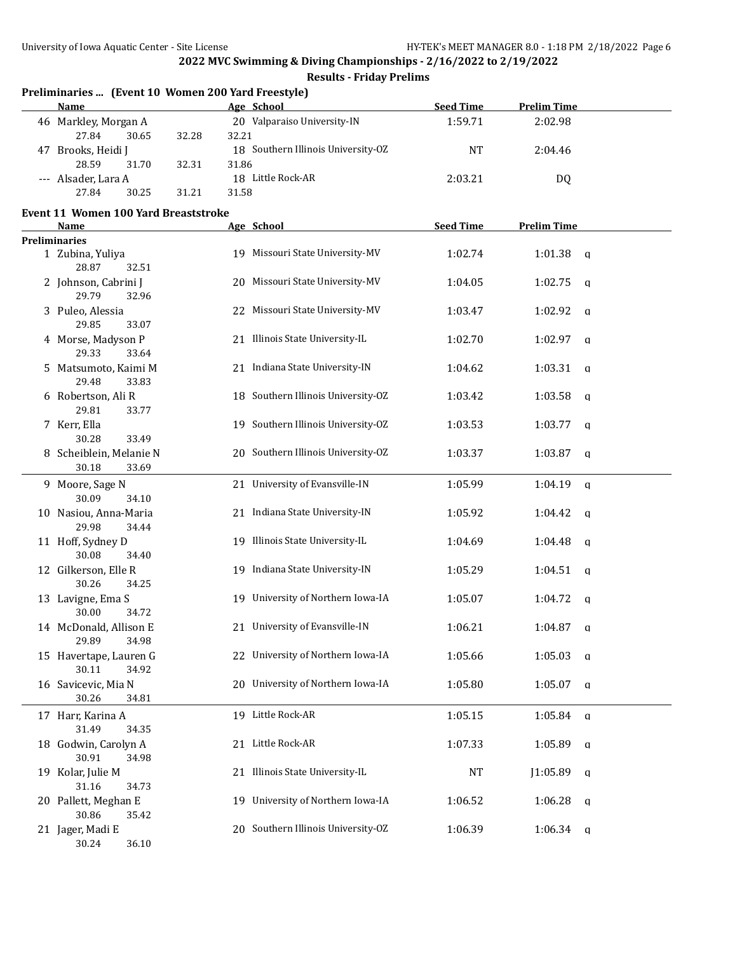| Preliminaries  (Event 10 Women 200 Yard Freestyle)<br>Name |                | Age School                         | <b>Seed Time</b> | <b>Prelim Time</b> |              |
|------------------------------------------------------------|----------------|------------------------------------|------------------|--------------------|--------------|
| 46 Markley, Morgan A<br>27.84<br>30.65                     | 32.21<br>32.28 | 20 Valparaiso University-IN        | 1:59.71          | 2:02.98            |              |
| 47 Brooks, Heidi J<br>28.59<br>31.70                       | 32.31<br>31.86 | 18 Southern Illinois University-OZ | <b>NT</b>        | 2:04.46            |              |
| --- Alsader, Lara A<br>27.84<br>30.25                      | 31.21<br>31.58 | 18 Little Rock-AR                  | 2:03.21          | DQ                 |              |
| Event 11 Women 100 Yard Breaststroke                       |                |                                    |                  |                    |              |
| Name                                                       |                | Age School                         | <b>Seed Time</b> | <b>Prelim Time</b> |              |
| <b>Preliminaries</b>                                       |                |                                    |                  |                    |              |
| 1 Zubina, Yuliya<br>28.87<br>32.51                         |                | 19 Missouri State University-MV    | 1:02.74          | 1:01.38            | q            |
| 2 Johnson, Cabrini J<br>29.79<br>32.96                     |                | 20 Missouri State University-MV    | 1:04.05          | 1:02.75            | q            |
| 3 Puleo, Alessia<br>29.85<br>33.07                         |                | 22 Missouri State University-MV    | 1:03.47          | 1:02.92            | q            |
| 4 Morse, Madyson P<br>29.33<br>33.64                       |                | 21 Illinois State University-IL    | 1:02.70          | 1:02.97            | $\mathsf{q}$ |
| 5 Matsumoto, Kaimi M<br>29.48<br>33.83                     |                | 21 Indiana State University-IN     | 1:04.62          | 1:03.31            | $\mathsf{q}$ |
| 6 Robertson, Ali R<br>29.81<br>33.77                       |                | 18 Southern Illinois University-OZ | 1:03.42          | 1:03.58            | q            |
| 7 Kerr, Ella<br>30.28<br>33.49                             |                | 19 Southern Illinois University-OZ | 1:03.53          | 1:03.77            | q            |
| 8 Scheiblein, Melanie N<br>30.18<br>33.69                  |                | 20 Southern Illinois University-OZ | 1:03.37          | 1:03.87            | $\mathsf{q}$ |
| 9 Moore, Sage N<br>30.09<br>34.10                          |                | 21 University of Evansville-IN     | 1:05.99          | 1:04.19            | q            |
| 10 Nasiou, Anna-Maria<br>29.98<br>34.44                    |                | 21 Indiana State University-IN     | 1:05.92          | 1:04.42            | q            |
| 11 Hoff, Sydney D<br>30.08<br>34.40                        |                | 19 Illinois State University-IL    | 1:04.69          | 1:04.48            | q            |
| 12 Gilkerson, Elle R<br>30.26<br>34.25                     |                | 19 Indiana State University-IN     | 1:05.29          | 1:04.51            | $\mathbf{q}$ |
| 13 Lavigne, Ema S<br>30.00<br>34.72                        |                | 19 University of Northern Iowa-IA  | 1:05.07          | 1:04.72            | q            |
| 14 McDonald, Allison E<br>29.89<br>34.98                   |                | 21 University of Evansville-IN     | 1:06.21          | $1:04.87$ a        |              |
| 15 Havertape, Lauren G<br>30.11<br>34.92                   |                | 22 University of Northern Iowa-IA  | 1:05.66          | $1:05.03$ a        |              |
| 16 Savicevic, Mia N<br>30.26<br>34.81                      |                | 20 University of Northern Iowa-IA  | 1:05.80          | 1:05.07            | a            |
| 17 Harr, Karina A<br>31.49<br>34.35                        |                | 19 Little Rock-AR                  | 1:05.15          | 1:05.84            | q            |
| 18 Godwin, Carolyn A<br>30.91<br>34.98                     |                | 21 Little Rock-AR                  | 1:07.33          | 1:05.89            | q            |
| 19 Kolar, Julie M                                          |                | 21 Illinois State University-IL    | <b>NT</b>        | J1:05.89           | q            |
| 31.16<br>34.73<br>20 Pallett, Meghan E                     | 19.            | University of Northern Iowa-IA     | 1:06.52          | 1:06.28            | <b>a</b>     |
| 30.86<br>35.42<br>21 Jager, Madi E<br>30.24<br>36.10       |                | 20 Southern Illinois University-OZ | 1:06.39          | $1:06.34$ a        |              |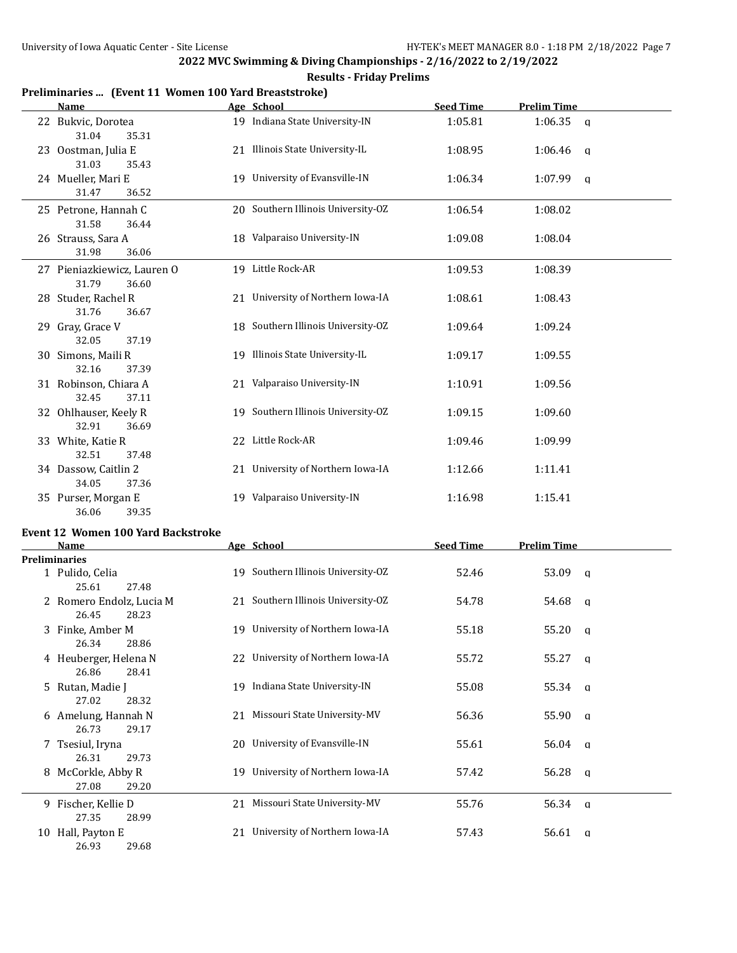| Preliminaries  (Event 11 Women 100 Yard Breaststroke)<br>Name |     | Age School                         | <b>Seed Time</b> | <b>Prelim Time</b> |                |
|---------------------------------------------------------------|-----|------------------------------------|------------------|--------------------|----------------|
| 22 Bukvic, Dorotea<br>31.04<br>35.31                          |     | 19 Indiana State University-IN     | 1:05.81          | 1:06.35            | $\mathbf{q}$   |
| 23 Oostman, Julia E<br>31.03<br>35.43                         |     | 21 Illinois State University-IL    | 1:08.95          | 1:06.46            | q              |
| 24 Mueller, Mari E<br>31.47<br>36.52                          |     | 19 University of Evansville-IN     | 1:06.34          | 1:07.99            | q              |
| 25 Petrone, Hannah C<br>31.58<br>36.44                        |     | 20 Southern Illinois University-OZ | 1:06.54          | 1:08.02            |                |
| 26 Strauss, Sara A<br>31.98<br>36.06                          |     | 18 Valparaiso University-IN        | 1:09.08          | 1:08.04            |                |
| 27 Pieniazkiewicz, Lauren O<br>31.79<br>36.60                 |     | 19 Little Rock-AR                  | 1:09.53          | 1:08.39            |                |
| 28 Studer, Rachel R<br>31.76<br>36.67                         |     | 21 University of Northern Iowa-IA  | 1:08.61          | 1:08.43            |                |
| 29 Gray, Grace V<br>32.05<br>37.19                            |     | 18 Southern Illinois University-OZ | 1:09.64          | 1:09.24            |                |
| 30 Simons, Maili R<br>32.16<br>37.39                          |     | 19 Illinois State University-IL    | 1:09.17          | 1:09.55            |                |
| 31 Robinson, Chiara A<br>32.45<br>37.11                       |     | 21 Valparaiso University-IN        | 1:10.91          | 1:09.56            |                |
| 32 Ohlhauser, Keely R<br>32.91<br>36.69                       |     | 19 Southern Illinois University-OZ | 1:09.15          | 1:09.60            |                |
| 33 White, Katie R<br>32.51<br>37.48                           |     | 22 Little Rock-AR                  | 1:09.46          | 1:09.99            |                |
| 34 Dassow, Caitlin 2<br>34.05<br>37.36                        |     | 21 University of Northern Iowa-IA  | 1:12.66          | 1:11.41            |                |
| 35 Purser, Morgan E<br>36.06<br>39.35                         |     | 19 Valparaiso University-IN        | 1:16.98          | 1:15.41            |                |
| <b>Event 12 Women 100 Yard Backstroke</b>                     |     |                                    |                  |                    |                |
| Name                                                          |     | Age School                         | <b>Seed Time</b> | <b>Prelim Time</b> |                |
| <b>Preliminaries</b><br>1 Pulido, Celia<br>25.61<br>27.48     |     | 19 Southern Illinois University-OZ | 52.46            | 53.09              | q              |
| 2 Romero Endolz, Lucia M<br>26.45<br>28.23                    |     | 21 Southern Illinois University-OZ | 54.78            | 54.68              | q              |
| 3 Finke, Amber M<br>26.34<br>28.86                            |     | 19 University of Northern Iowa-IA  | 55.18            | 55.20              | - q            |
| 4 Heuberger, Helena N<br>26.86<br>28.41                       |     | 22 University of Northern Iowa-IA  | 55.72            | 55.27              | <b>a</b>       |
| 5 Rutan, Madie J<br>27.02<br>28.32                            |     | 19 Indiana State University-IN     | 55.08            | 55.34              | <b>a</b>       |
| 6 Amelung, Hannah N<br>26.73<br>29.17                         |     | 21 Missouri State University-MV    | 56.36            | 55.90              | $\mathbf q$    |
| 7 Tsesiul, Iryna<br>26.31<br>29.73                            | 20. | University of Evansville-IN        | 55.61            | 56.04              | $\mathbf q$    |
| 8 McCorkle, Abby R<br>27.08<br>29.20                          | 19. | University of Northern Iowa-IA     | 57.42            | 56.28              | $\mathbf{q}$   |
| 9 Fischer, Kellie D<br>27.35<br>28.99                         |     | 21 Missouri State University-MV    | 55.76            | 56.34              | $\mathfrak{a}$ |
| 10 Hall, Payton E<br>29.68<br>26.93                           |     | 21 University of Northern Iowa-IA  | 57.43            | 56.61              | q              |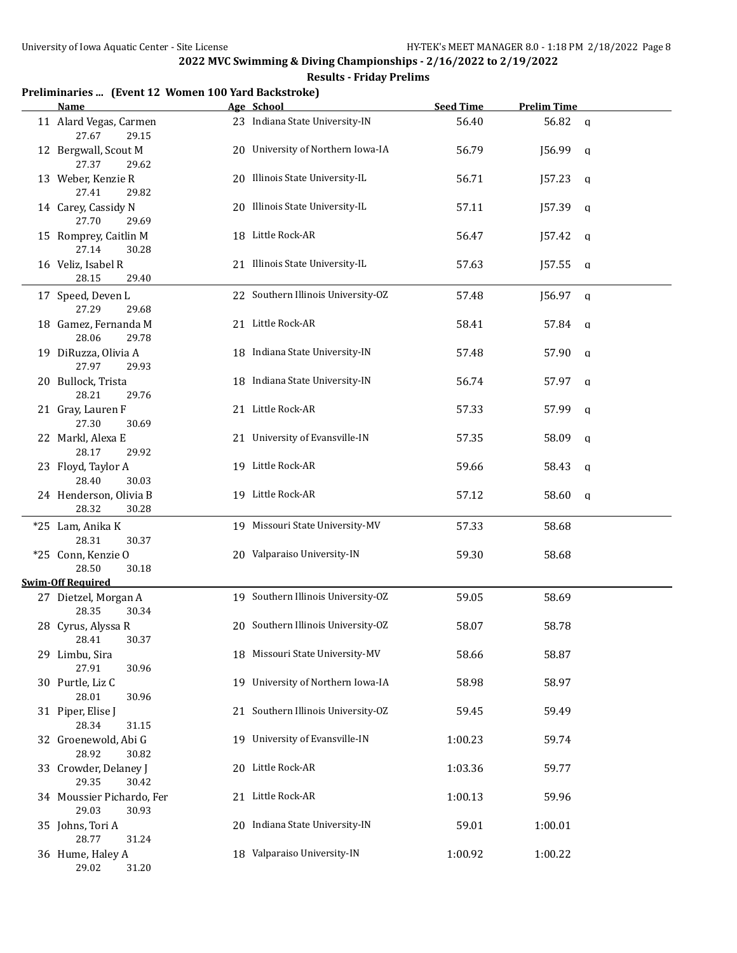#### **Results - Friday Prelims**

# **Preliminaries ... (Event 12 Women 100 Yard Backstroke)**

| Name                                        |    | Age School                         | <b>Seed Time</b> | <b>Prelim Time</b> |  |
|---------------------------------------------|----|------------------------------------|------------------|--------------------|--|
| 11 Alard Vegas, Carmen<br>27.67<br>29.15    |    | 23 Indiana State University-IN     | 56.40            | 56.82<br>q         |  |
| 12 Bergwall, Scout M<br>27.37<br>29.62      |    | 20 University of Northern Iowa-IA  | 56.79            | J56.99<br>a        |  |
| 13 Weber, Kenzie R<br>27.41<br>29.82        |    | 20 Illinois State University-IL    | 56.71            | J57.23<br>a        |  |
| 14 Carey, Cassidy N<br>27.70<br>29.69       |    | 20 Illinois State University-IL    | 57.11            | J57.39<br>q        |  |
| 15 Romprey, Caitlin M<br>27.14<br>30.28     |    | 18 Little Rock-AR                  | 56.47            | J57.42<br>q        |  |
| 16 Veliz, Isabel R<br>28.15<br>29.40        |    | 21 Illinois State University-IL    | 57.63            | J57.55<br>a        |  |
| 17 Speed, Deven L<br>27.29<br>29.68         |    | 22 Southern Illinois University-OZ | 57.48            | J56.97<br>a        |  |
| 18 Gamez, Fernanda M<br>28.06<br>29.78      |    | 21 Little Rock-AR                  | 58.41            | 57.84<br>q         |  |
| 19 DiRuzza, Olivia A<br>27.97<br>29.93      |    | 18 Indiana State University-IN     | 57.48            | 57.90<br>q         |  |
| 20 Bullock, Trista<br>28.21<br>29.76        |    | 18 Indiana State University-IN     | 56.74            | 57.97<br>q         |  |
| 21 Gray, Lauren F<br>27.30<br>30.69         |    | 21 Little Rock-AR                  | 57.33            | 57.99<br>a         |  |
| 22 Markl, Alexa E<br>28.17<br>29.92         |    | 21 University of Evansville-IN     | 57.35            | 58.09<br>a         |  |
| 23 Floyd, Taylor A<br>28.40<br>30.03        |    | 19 Little Rock-AR                  | 59.66            | 58.43<br>a         |  |
| 24 Henderson, Olivia B<br>28.32<br>30.28    |    | 19 Little Rock-AR                  | 57.12            | 58.60<br>q         |  |
| *25 Lam, Anika K<br>28.31<br>30.37          |    | 19 Missouri State University-MV    | 57.33            | 58.68              |  |
| *25 Conn, Kenzie O<br>28.50<br>30.18        |    | 20 Valparaiso University-IN        | 59.30            | 58.68              |  |
| <b>Swim-Off Required</b>                    |    |                                    |                  |                    |  |
| 27 Dietzel, Morgan A<br>28.35<br>30.34      |    | 19 Southern Illinois University-OZ | 59.05            | 58.69              |  |
| 28 Cyrus, Alyssa R<br>28.41 30.37           |    | 20 Southern Illinois University-OZ | 58.07            | 58.78              |  |
| 29 Limbu, Sira<br>27.91<br>30.96            |    | 18 Missouri State University-MV    | 58.66            | 58.87              |  |
| 30 Purtle, Liz C<br>28.01<br>30.96          |    | 19 University of Northern Iowa-IA  | 58.98            | 58.97              |  |
| 31 Piper, Elise J<br>28.34<br>31.15         |    | 21 Southern Illinois University-OZ | 59.45            | 59.49              |  |
| 32 Groenewold, Abi G<br>28.92<br>30.82      |    | 19 University of Evansville-IN     | 1:00.23          | 59.74              |  |
| 33 Crowder, Delaney J<br>29.35<br>30.42     |    | 20 Little Rock-AR                  | 1:03.36          | 59.77              |  |
| 34 Moussier Pichardo, Fer<br>29.03<br>30.93 | 21 | Little Rock-AR                     | 1:00.13          | 59.96              |  |
| 35 Johns, Tori A<br>28.77<br>31.24          | 20 | Indiana State University-IN        | 59.01            | 1:00.01            |  |
| 36 Hume, Haley A<br>29.02<br>31.20          |    | 18 Valparaiso University-IN        | 1:00.92          | 1:00.22            |  |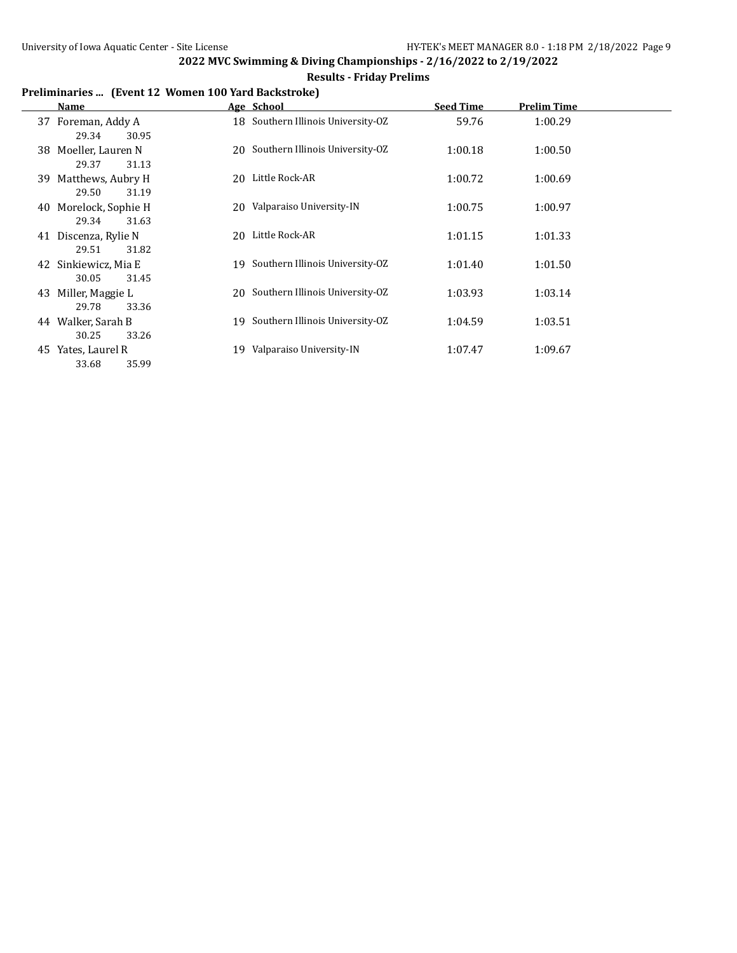# **Results - Friday Prelims**

# **Preliminaries ... (Event 12 Women 100 Yard Backstroke)**

|    | Name                                   |     | Age School                         | <b>Seed Time</b> | <b>Prelim Time</b> |
|----|----------------------------------------|-----|------------------------------------|------------------|--------------------|
|    | 37 Foreman, Addy A<br>29.34<br>30.95   |     | 18 Southern Illinois University-OZ | 59.76            | 1:00.29            |
|    | 38 Moeller, Lauren N<br>29.37<br>31.13 |     | 20 Southern Illinois University-OZ | 1:00.18          | 1:00.50            |
|    | 39 Matthews, Aubry H<br>29.50<br>31.19 | 20  | Little Rock-AR                     | 1:00.72          | 1:00.69            |
| 40 | Morelock, Sophie H<br>29.34<br>31.63   |     | 20 Valparaiso University-IN        | 1:00.75          | 1:00.97            |
| 41 | Discenza, Rylie N<br>29.51<br>31.82    | 20  | Little Rock-AR                     | 1:01.15          | 1:01.33            |
|    | 42 Sinkiewicz, Mia E<br>30.05<br>31.45 | 19. | Southern Illinois University-OZ    | 1:01.40          | 1:01.50            |
| 43 | Miller, Maggie L<br>29.78<br>33.36     |     | 20 Southern Illinois University-OZ | 1:03.93          | 1:03.14            |
|    | 44 Walker, Sarah B<br>30.25<br>33.26   |     | 19 Southern Illinois University-OZ | 1:04.59          | 1:03.51            |
|    | 45 Yates, Laurel R<br>35.99<br>33.68   | 19  | Valparaiso University-IN           | 1:07.47          | 1:09.67            |